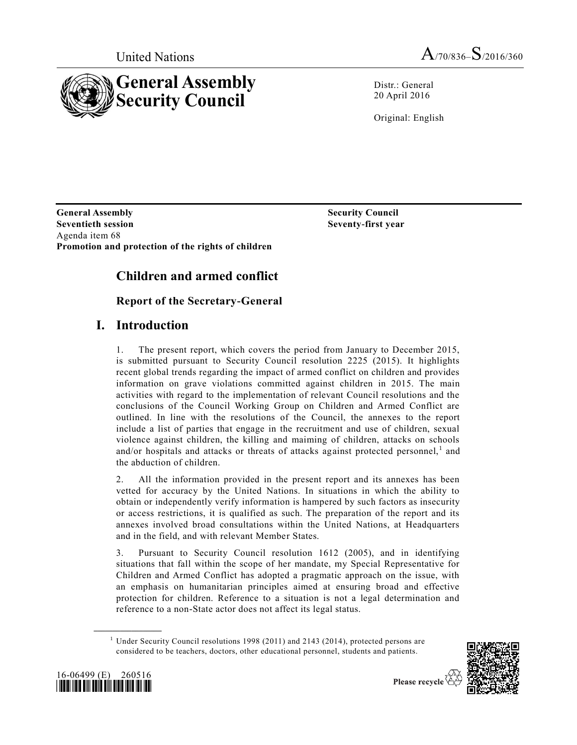



Distr.: General 20 April 2016

Original: English

**General Assembly Seventieth session** Agenda item 68 **Promotion and protection of the rights of children**

**Seventy-first year**

**Security Council**

# **Children and armed conflict**

**Report of the Secretary-General** 

# **I. Introduction**

1. The present report, which covers the period from January to December 2015, is submitted pursuant to Security Council resolution 2225 (2015). It highlights recent global trends regarding the impact of armed conflict on children and provides information on grave violations committed against children in 2015. The main activities with regard to the implementation of relevant Council resolutions and the conclusions of the Council Working Group on Children and Armed Conflict are outlined. In line with the resolutions of the Council, the annexes to the report include a list of parties that engage in the recruitment and use of children, sexual violence against children, the killing and maiming of children, attacks on schools and/or hospitals and attacks or threats of attacks against protected personnel,<sup>1</sup> and the abduction of children.

2. All the information provided in the present report and its annexes has been vetted for accuracy by the United Nations. In situations in which the ability to obtain or independently verify information is hampered by such factors as insecurity or access restrictions, it is qualified as such. The preparation of the report and its annexes involved broad consultations within the United Nations, at Headquarters and in the field, and with relevant Member States.

3. Pursuant to Security Council resolution 1612 (2005), and in identifying situations that fall within the scope of her mandate, my Special Representative for Children and Armed Conflict has adopted a pragmatic approach on the issue, with an emphasis on humanitarian principles aimed at ensuring broad and effective protection for children. Reference to a situation is not a legal determination and reference to a non-State actor does not affect its legal status.

 $1$  Under Security Council resolutions 1998 (2011) and 2143 (2014), protected persons are considered to be teachers, doctors, other educational personnel, students and patients.





**\_\_\_\_\_\_\_\_\_\_\_\_\_\_\_\_\_\_**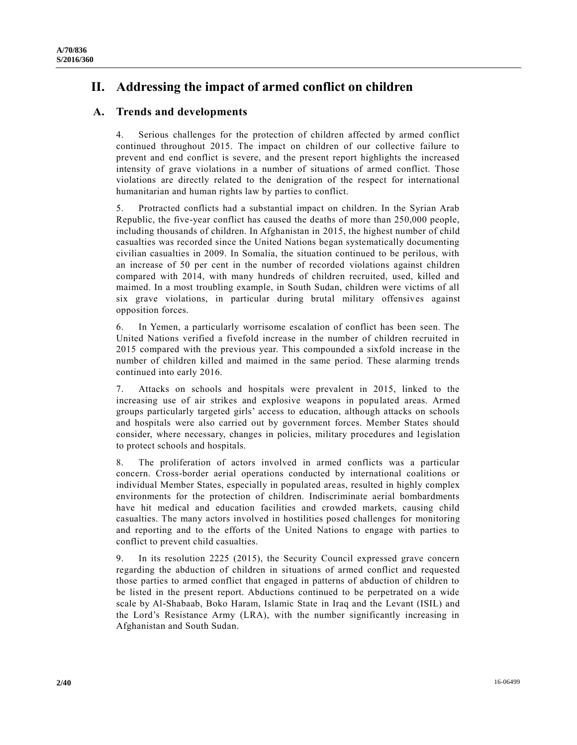# **II. Addressing the impact of armed conflict on children**

## **A. Trends and developments**

4. Serious challenges for the protection of children affected by armed conflict continued throughout 2015. The impact on children of our collective failure to prevent and end conflict is severe, and the present report highlights the increased intensity of grave violations in a number of situations of armed conflict. Those violations are directly related to the denigration of the respect for international humanitarian and human rights law by parties to conflict.

5. Protracted conflicts had a substantial impact on children. In the Syrian Arab Republic, the five-year conflict has caused the deaths of more than 250,000 people, including thousands of children. In Afghanistan in 2015, the highest number of child casualties was recorded since the United Nations began systematically documenting civilian casualties in 2009. In Somalia, the situation continued to be perilous, with an increase of 50 per cent in the number of recorded violations against children compared with 2014, with many hundreds of children recruited, used, killed and maimed. In a most troubling example, in South Sudan, children were victims of all six grave violations, in particular during brutal military offensives against opposition forces.

6. In Yemen, a particularly worrisome escalation of conflict has been seen. The United Nations verified a fivefold increase in the number of children recruited in 2015 compared with the previous year. This compounded a sixfold increase in the number of children killed and maimed in the same period. These alarming trends continued into early 2016.

7. Attacks on schools and hospitals were prevalent in 2015, linked to the increasing use of air strikes and explosive weapons in populated areas. Armed groups particularly targeted girls' access to education, although attacks on schools and hospitals were also carried out by government forces. Member States should consider, where necessary, changes in policies, military procedures and legislation to protect schools and hospitals.

8. The proliferation of actors involved in armed conflicts was a particular concern. Cross-border aerial operations conducted by international coalitions or individual Member States, especially in populated areas, resulted in highly complex environments for the protection of children. Indiscriminate aerial bombardments have hit medical and education facilities and crowded markets, causing child casualties. The many actors involved in hostilities posed challenges for monitoring and reporting and to the efforts of the United Nations to engage with parties to conflict to prevent child casualties.

9. In its resolution 2225 (2015), the Security Council expressed grave concern regarding the abduction of children in situations of armed conflict and requested those parties to armed conflict that engaged in patterns of abduction of children to be listed in the present report. Abductions continued to be perpetrated on a wide scale by Al-Shabaab, Boko Haram, Islamic State in Iraq and the Levant (ISIL) and the Lord's Resistance Army (LRA), with the number significantly increasing in Afghanistan and South Sudan.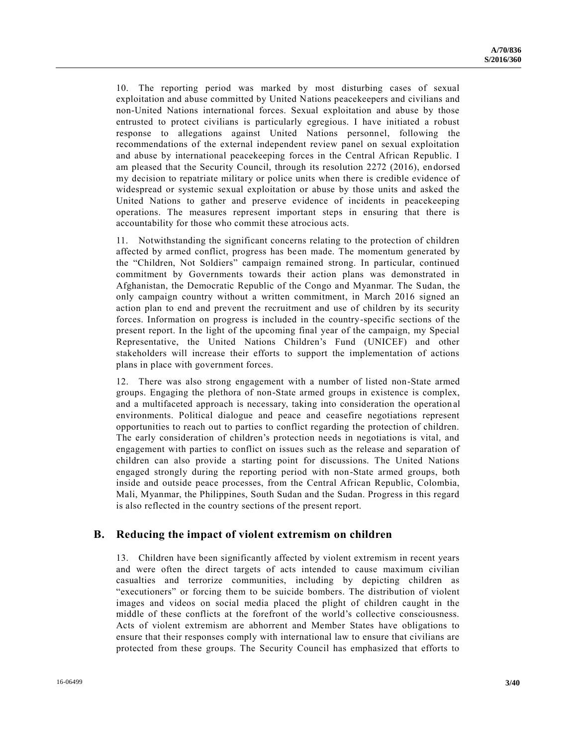10. The reporting period was marked by most disturbing cases of sexual exploitation and abuse committed by United Nations peacekeepers and civilians and non-United Nations international forces. Sexual exploitation and abuse by those entrusted to protect civilians is particularly egregious. I have initiated a robust response to allegations against United Nations personnel, following the recommendations of the external independent review panel on sexual exploitation and abuse by international peacekeeping forces in the Central African Republic. I am pleased that the Security Council, through its resolution 2272 (2016), endorsed my decision to repatriate military or police units when there is credible evidence of widespread or systemic sexual exploitation or abuse by those units and asked the United Nations to gather and preserve evidence of incidents in peacekeeping operations. The measures represent important steps in ensuring that there is accountability for those who commit these atrocious acts.

11. Notwithstanding the significant concerns relating to the protection of children affected by armed conflict, progress has been made. The momentum generated by the "Children, Not Soldiers" campaign remained strong. In particular, continued commitment by Governments towards their action plans was demonstrated in Afghanistan, the Democratic Republic of the Congo and Myanmar. The Sudan, the only campaign country without a written commitment, in March 2016 signed an action plan to end and prevent the recruitment and use of children by its security forces. Information on progress is included in the country-specific sections of the present report. In the light of the upcoming final year of the campaign, my Special Representative, the United Nations Children's Fund (UNICEF) and other stakeholders will increase their efforts to support the implementation of actions plans in place with government forces.

12. There was also strong engagement with a number of listed non-State armed groups. Engaging the plethora of non-State armed groups in existence is complex, and a multifaceted approach is necessary, taking into consideration the operation al environments. Political dialogue and peace and ceasefire negotiations represent opportunities to reach out to parties to conflict regarding the protection of children. The early consideration of children's protection needs in negotiations is vital, and engagement with parties to conflict on issues such as the release and separation of children can also provide a starting point for discussions. The United Nations engaged strongly during the reporting period with non-State armed groups, both inside and outside peace processes, from the Central African Republic, Colombia, Mali, Myanmar, the Philippines, South Sudan and the Sudan. Progress in this regard is also reflected in the country sections of the present report.

### **B. Reducing the impact of violent extremism on children**

13. Children have been significantly affected by violent extremism in recent years and were often the direct targets of acts intended to cause maximum civilian casualties and terrorize communities, including by depicting children as "executioners" or forcing them to be suicide bombers. The distribution of violent images and videos on social media placed the plight of children caught in the middle of these conflicts at the forefront of the world's collective consciousness. Acts of violent extremism are abhorrent and Member States have obligations to ensure that their responses comply with international law to ensure that civilians are protected from these groups. The Security Council has emphasized that efforts to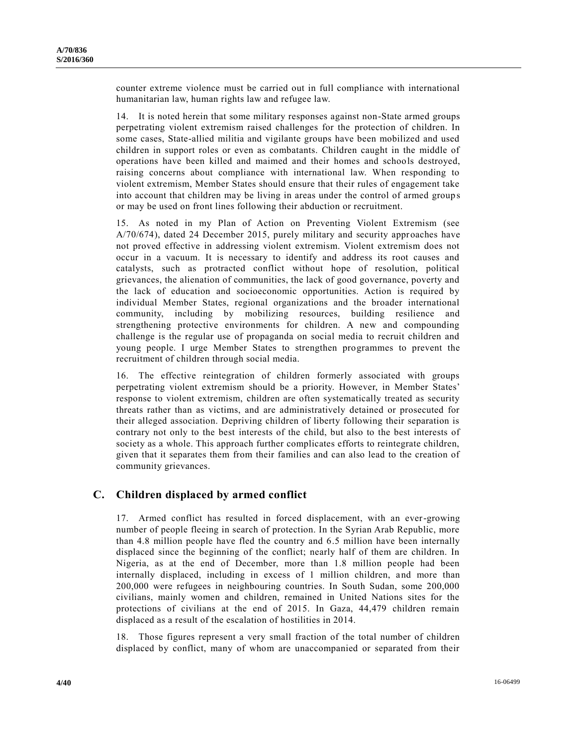counter extreme violence must be carried out in full compliance with international humanitarian law, human rights law and refugee law.

14. It is noted herein that some military responses against non-State armed groups perpetrating violent extremism raised challenges for the protection of children. In some cases, State-allied militia and vigilante groups have been mobilized and used children in support roles or even as combatants. Children caught in the middle of operations have been killed and maimed and their homes and schools destroyed, raising concerns about compliance with international law. When responding to violent extremism, Member States should ensure that their rules of engagement take into account that children may be living in areas under the control of armed group s or may be used on front lines following their abduction or recruitment.

15. As noted in my Plan of Action on Preventing Violent Extremism (see [A/70/674\)](http://undocs.org/A/70/674), dated 24 December 2015, purely military and security approaches have not proved effective in addressing violent extremism. Violent extremism does not occur in a vacuum. It is necessary to identify and address its root causes and catalysts, such as protracted conflict without hope of resolution, political grievances, the alienation of communities, the lack of good governance, poverty and the lack of education and socioeconomic opportunities. Action is required by individual Member States, regional organizations and the broader international community, including by mobilizing resources, building resilience and strengthening protective environments for children. A new and compounding challenge is the regular use of propaganda on social media to recruit children and young people. I urge Member States to strengthen programmes to prevent the recruitment of children through social media.

16. The effective reintegration of children formerly associated with groups perpetrating violent extremism should be a priority. However, in Member States' response to violent extremism, children are often systematically treated as security threats rather than as victims, and are administratively detained or prosecuted for their alleged association. Depriving children of liberty following their separation is contrary not only to the best interests of the child, but also to the best interests of society as a whole. This approach further complicates efforts to reintegrate children, given that it separates them from their families and can also lead to the creation of community grievances.

## **C. Children displaced by armed conflict**

17. Armed conflict has resulted in forced displacement, with an ever-growing number of people fleeing in search of protection. In the Syrian Arab Republic, more than 4.8 million people have fled the country and 6.5 million have been internally displaced since the beginning of the conflict; nearly half of them are children. In Nigeria, as at the end of December, more than 1.8 million people had been internally displaced, including in excess of 1 million children, and more than 200,000 were refugees in neighbouring countries. In South Sudan, some 200,000 civilians, mainly women and children, remained in United Nations sites for the protections of civilians at the end of 2015. In Gaza, 44,479 children remain displaced as a result of the escalation of hostilities in 2014.

18. Those figures represent a very small fraction of the total number of children displaced by conflict, many of whom are unaccompanied or separated from their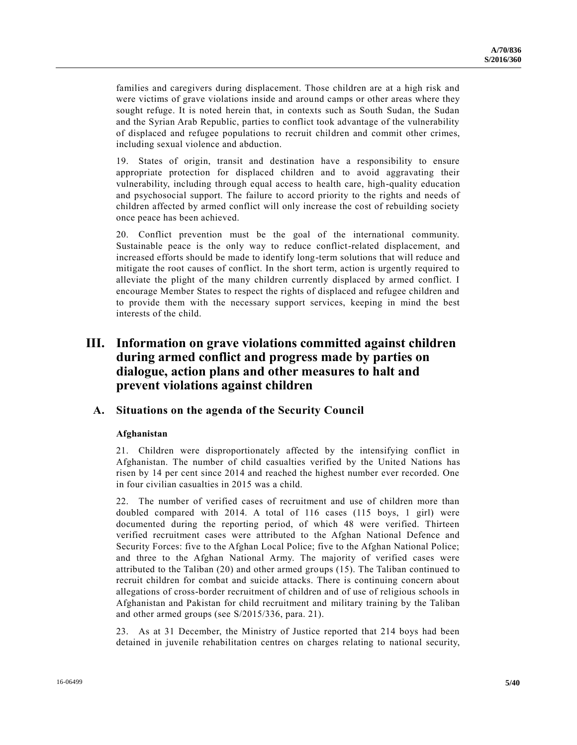families and caregivers during displacement. Those children are at a high risk and were victims of grave violations inside and around camps or other areas where they sought refuge. It is noted herein that, in contexts such as South Sudan, the Sudan and the Syrian Arab Republic, parties to conflict took advantage of the vulnerability of displaced and refugee populations to recruit children and commit other crimes, including sexual violence and abduction.

19. States of origin, transit and destination have a responsibility to ensure appropriate protection for displaced children and to avoid aggravating their vulnerability, including through equal access to health care, high-quality education and psychosocial support. The failure to accord priority to the rights and needs of children affected by armed conflict will only increase the cost of rebuilding society once peace has been achieved.

20. Conflict prevention must be the goal of the international community. Sustainable peace is the only way to reduce conflict-related displacement, and increased efforts should be made to identify long-term solutions that will reduce and mitigate the root causes of conflict. In the short term, action is urgently required to alleviate the plight of the many children currently displaced by armed conflict. I encourage Member States to respect the rights of displaced and refugee children and to provide them with the necessary support services, keeping in mind the best interests of the child.

## **III. Information on grave violations committed against children during armed conflict and progress made by parties on dialogue, action plans and other measures to halt and prevent violations against children**

## **A. Situations on the agenda of the Security Council**

#### **Afghanistan**

21. Children were disproportionately affected by the intensifying conflict in Afghanistan. The number of child casualties verified by the United Nations has risen by 14 per cent since 2014 and reached the highest number ever recorded. One in four civilian casualties in 2015 was a child.

22. The number of verified cases of recruitment and use of children more than doubled compared with 2014. A total of 116 cases (115 boys, 1 girl) were documented during the reporting period, of which 48 were verified. Thirteen verified recruitment cases were attributed to the Afghan National Defence and Security Forces: five to the Afghan Local Police; five to the Afghan National Police; and three to the Afghan National Army. The majority of verified cases were attributed to the Taliban (20) and other armed groups (15). The Taliban continued to recruit children for combat and suicide attacks. There is continuing concern about allegations of cross-border recruitment of children and of use of religious schools in Afghanistan and Pakistan for child recruitment and military training by the Taliban and other armed groups (see [S/2015/336,](http://undocs.org/S/2015/336) para. 21).

23. As at 31 December, the Ministry of Justice reported that 214 boys had been detained in juvenile rehabilitation centres on charges relating to national security,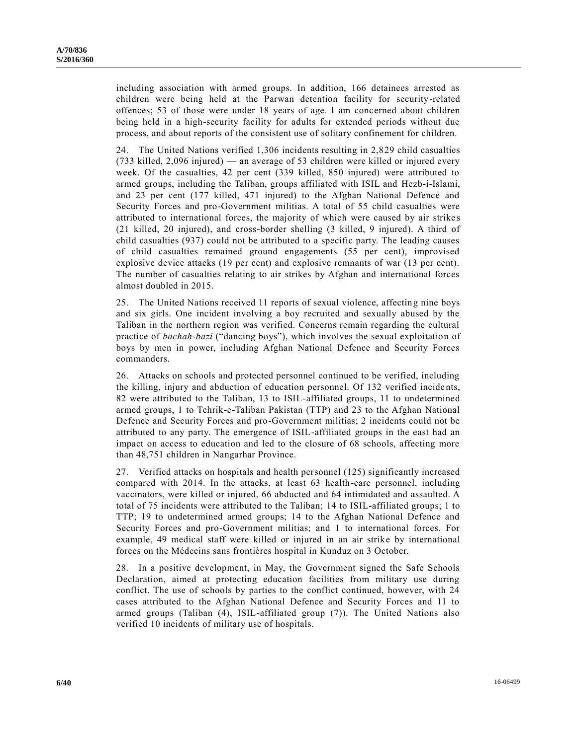including association with armed groups. In addition, 166 detainees arrested as children were being held at the Parwan detention facility for security-related offences; 53 of those were under 18 years of age. I am concerned about children being held in a high-security facility for adults for extended periods without due process, and about reports of the consistent use of solitary confinement for children.

24. The United Nations verified 1,306 incidents resulting in 2,829 child casualties (733 killed, 2,096 injured) — an average of 53 children were killed or injured every week. Of the casualties, 42 per cent (339 killed, 850 injured) were attributed to armed groups, including the Taliban, groups affiliated with ISIL and Hezb-i-Islami, and 23 per cent (177 killed, 471 injured) to the Afghan National Defence and Security Forces and pro-Government militias. A total of 55 child casualties were attributed to international forces, the majority of which were caused by air strike s (21 killed, 20 injured), and cross-border shelling (3 killed, 9 injured). A third of child casualties (937) could not be attributed to a specific party. The leading causes of child casualties remained ground engagements (55 per cent), improvised explosive device attacks (19 per cent) and explosive remnants of war (13 per cent). The number of casualties relating to air strikes by Afghan and international forces almost doubled in 2015.

25. The United Nations received 11 reports of sexual violence, affecting nine boys and six girls. One incident involving a boy recruited and sexually abused by the Taliban in the northern region was verified. Concerns remain regarding the cultural practice of *bachah-bazi* ("dancing boys"), which involves the sexual exploitation of boys by men in power, including Afghan National Defence and Security Forces commanders.

26. Attacks on schools and protected personnel continued to be verified, including the killing, injury and abduction of education personnel. Of 132 verified incide nts, 82 were attributed to the Taliban, 13 to ISIL-affiliated groups, 11 to undetermined armed groups, 1 to Tehrik-e-Taliban Pakistan (TTP) and 23 to the Afghan National Defence and Security Forces and pro-Government militias; 2 incidents could not be attributed to any party. The emergence of ISIL-affiliated groups in the east had an impact on access to education and led to the closure of 68 schools, affecting more than 48,751 children in Nangarhar Province.

27. Verified attacks on hospitals and health personnel (125) significantly increased compared with 2014. In the attacks, at least 63 health-care personnel, including vaccinators, were killed or injured, 66 abducted and 64 intimidated and assaulted. A total of 75 incidents were attributed to the Taliban; 14 to ISIL-affiliated groups; 1 to TTP; 19 to undetermined armed groups; 14 to the Afghan National Defence and Security Forces and pro-Government militias; and 1 to international forces. For example, 49 medical staff were killed or injured in an air strike by international forces on the Médecins sans frontières hospital in Kunduz on 3 October.

28. In a positive development, in May, the Government signed the Safe Schools Declaration, aimed at protecting education facilities from military use during conflict. The use of schools by parties to the conflict continued, however, with 24 cases attributed to the Afghan National Defence and Security Forces and 11 to armed groups (Taliban (4), ISIL-affiliated group (7)). The United Nations also verified 10 incidents of military use of hospitals.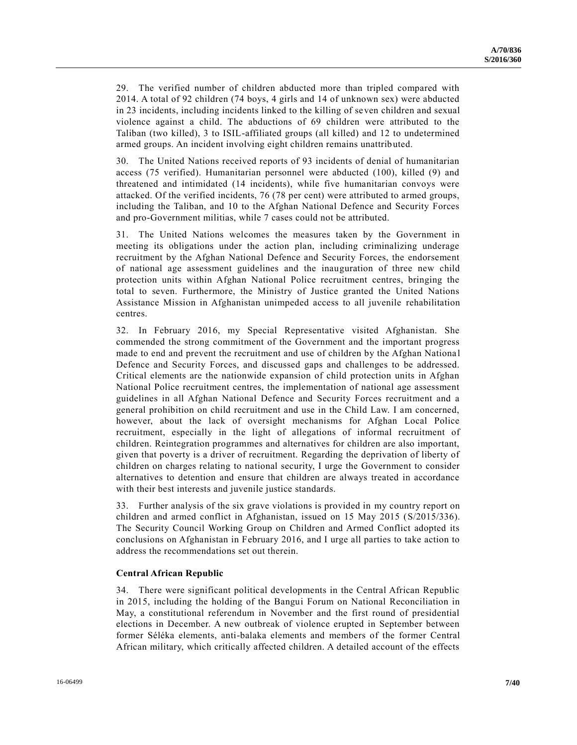29. The verified number of children abducted more than tripled compared with 2014. A total of 92 children (74 boys, 4 girls and 14 of unknown sex) were abducted in 23 incidents, including incidents linked to the killing of seven children and sexual violence against a child. The abductions of 69 children were attributed to the Taliban (two killed), 3 to ISIL-affiliated groups (all killed) and 12 to undetermined armed groups. An incident involving eight children remains unattributed.

30. The United Nations received reports of 93 incidents of denial of humanitarian access (75 verified). Humanitarian personnel were abducted (100), killed (9) and threatened and intimidated (14 incidents), while five humanitarian convoys were attacked. Of the verified incidents, 76 (78 per cent) were attributed to armed groups, including the Taliban, and 10 to the Afghan National Defence and Security Forces and pro-Government militias, while 7 cases could not be attributed.

31. The United Nations welcomes the measures taken by the Government in meeting its obligations under the action plan, including criminalizing underage recruitment by the Afghan National Defence and Security Forces, the endorsement of national age assessment guidelines and the inauguration of three new child protection units within Afghan National Police recruitment centres, bringing the total to seven. Furthermore, the Ministry of Justice granted the United Nations Assistance Mission in Afghanistan unimpeded access to all juvenile rehabilitation centres.

32. In February 2016, my Special Representative visited Afghanistan. She commended the strong commitment of the Government and the important progress made to end and prevent the recruitment and use of children by the Afghan Nationa l Defence and Security Forces, and discussed gaps and challenges to be addressed. Critical elements are the nationwide expansion of child protection units in Afghan National Police recruitment centres, the implementation of national age assessment guidelines in all Afghan National Defence and Security Forces recruitment and a general prohibition on child recruitment and use in the Child Law. I am concerned, however, about the lack of oversight mechanisms for Afghan Local Police recruitment, especially in the light of allegations of informal recruitment of children. Reintegration programmes and alternatives for children are also important, given that poverty is a driver of recruitment. Regarding the deprivation of liberty of children on charges relating to national security, I urge the Government to consider alternatives to detention and ensure that children are always treated in accordance with their best interests and juvenile justice standards.

33. Further analysis of the six grave violations is provided in my country report on children and armed conflict in Afghanistan, issued on 15 May 2015 [\(S/2015/336\)](http://undocs.org/S/2015/336). The Security Council Working Group on Children and Armed Conflict adopted its conclusions on Afghanistan in February 2016, and I urge all parties to take action to address the recommendations set out therein.

#### **Central African Republic**

34. There were significant political developments in the Central African Republic in 2015, including the holding of the Bangui Forum on National Reconciliation in May, a constitutional referendum in November and the first round of presidential elections in December. A new outbreak of violence erupted in September between former Séléka elements, anti-balaka elements and members of the former Central African military, which critically affected children. A detailed account of the effects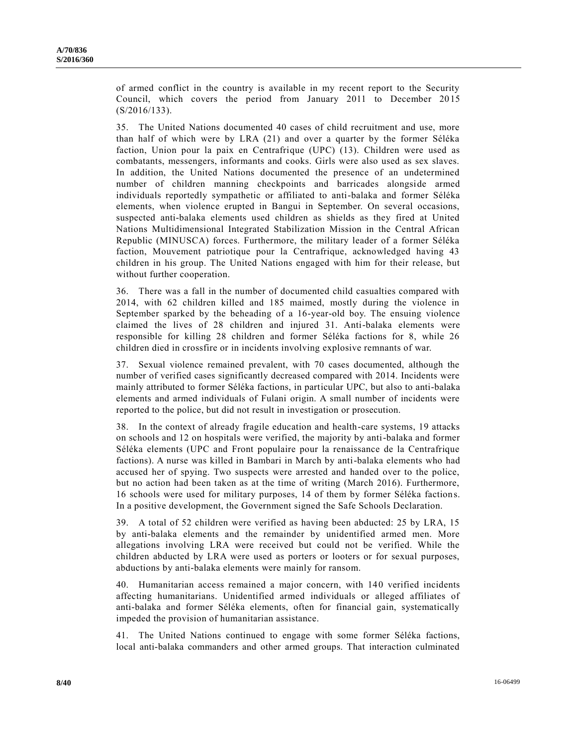of armed conflict in the country is available in my recent report to the Security Council, which covers the period from January 2011 to December 2015 [\(S/2016/133\)](http://undocs.org/S/2016/133).

35. The United Nations documented 40 cases of child recruitment and use, more than half of which were by LRA (21) and over a quarter by the former Séléka faction, Union pour la paix en Centrafrique (UPC) (13). Children were used as combatants, messengers, informants and cooks. Girls were also used as sex slaves. In addition, the United Nations documented the presence of an undetermined number of children manning checkpoints and barricades alongside armed individuals reportedly sympathetic or affiliated to anti-balaka and former Séléka elements, when violence erupted in Bangui in September. On several occasions, suspected anti-balaka elements used children as shields as they fired at United Nations Multidimensional Integrated Stabilization Mission in the Central African Republic (MINUSCA) forces. Furthermore, the military leader of a former Séléka faction, Mouvement patriotique pour la Centrafrique, acknowledged having 43 children in his group. The United Nations engaged with him for their release, but without further cooperation.

36. There was a fall in the number of documented child casualties compared with 2014, with 62 children killed and 185 maimed, mostly during the violence in September sparked by the beheading of a 16-year-old boy. The ensuing violence claimed the lives of 28 children and injured 31. Anti-balaka elements were responsible for killing 28 children and former Séléka factions for 8, while 26 children died in crossfire or in incidents involving explosive remnants of war.

37. Sexual violence remained prevalent, with 70 cases documented, although the number of verified cases significantly decreased compared with 2014. Incidents were mainly attributed to former Séléka factions, in particular UPC, but also to anti-balaka elements and armed individuals of Fulani origin. A small number of incidents were reported to the police, but did not result in investigation or prosecution.

38. In the context of already fragile education and health-care systems, 19 attacks on schools and 12 on hospitals were verified, the majority by anti-balaka and former Séléka elements (UPC and Front populaire pour la renaissance de la Centrafrique factions). A nurse was killed in Bambari in March by anti-balaka elements who had accused her of spying. Two suspects were arrested and handed over to the police, but no action had been taken as at the time of writing (March 2016). Furthermore, 16 schools were used for military purposes, 14 of them by former Séléka factions. In a positive development, the Government signed the Safe Schools Declaration.

39. A total of 52 children were verified as having been abducted: 25 by LRA, 15 by anti-balaka elements and the remainder by unidentified armed men. More allegations involving LRA were received but could not be verified. While the children abducted by LRA were used as porters or looters or for sexual purposes, abductions by anti-balaka elements were mainly for ransom.

40. Humanitarian access remained a major concern, with 140 verified incidents affecting humanitarians. Unidentified armed individuals or alleged affiliates of anti-balaka and former Séléka elements, often for financial gain, systematically impeded the provision of humanitarian assistance.

41. The United Nations continued to engage with some former Séléka factions, local anti-balaka commanders and other armed groups. That interaction culminated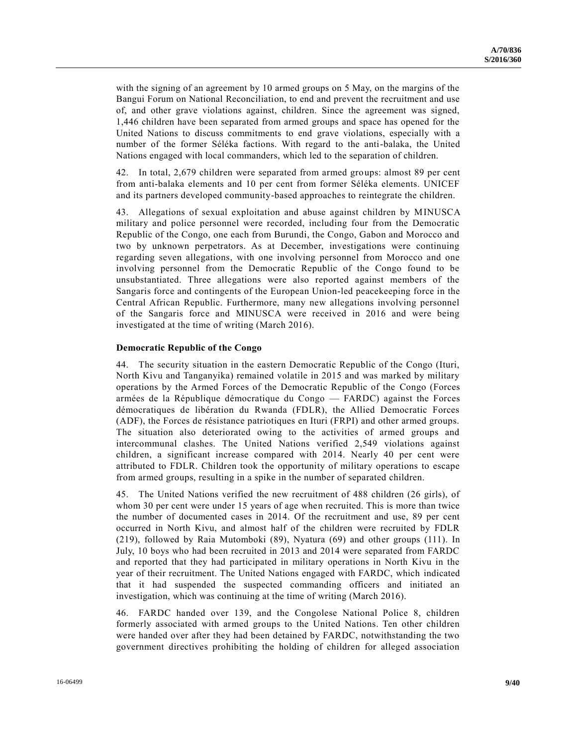with the signing of an agreement by 10 armed groups on 5 May, on the margins of the Bangui Forum on National Reconciliation, to end and prevent the recruitment and use of, and other grave violations against, children. Since the agreement was signed, 1,446 children have been separated from armed groups and space has opened for the United Nations to discuss commitments to end grave violations, especially with a number of the former Séléka factions. With regard to the anti-balaka, the United Nations engaged with local commanders, which led to the separation of children.

42. In total, 2,679 children were separated from armed groups: almost 89 per cent from anti-balaka elements and 10 per cent from former Séléka elements. UNICEF and its partners developed community-based approaches to reintegrate the children.

43. Allegations of sexual exploitation and abuse against children by MINUSCA military and police personnel were recorded, including four from the Democratic Republic of the Congo, one each from Burundi, the Congo, Gabon and Morocco and two by unknown perpetrators. As at December, investigations were continuing regarding seven allegations, with one involving personnel from Morocco and one involving personnel from the Democratic Republic of the Congo found to be unsubstantiated. Three allegations were also reported against members of the Sangaris force and contingents of the European Union-led peacekeeping force in the Central African Republic. Furthermore, many new allegations involving personnel of the Sangaris force and MINUSCA were received in 2016 and were being investigated at the time of writing (March 2016).

#### **Democratic Republic of the Congo**

44. The security situation in the eastern Democratic Republic of the Congo (Ituri, North Kivu and Tanganyika) remained volatile in 2015 and was marked by military operations by the Armed Forces of the Democratic Republic of the Congo (Forces armées de la République démocratique du Congo — FARDC) against the Forces démocratiques de libération du Rwanda (FDLR), the Allied Democratic Forces (ADF), the Forces de résistance patriotiques en Ituri (FRPI) and other armed groups. The situation also deteriorated owing to the activities of armed groups and intercommunal clashes. The United Nations verified 2,549 violations against children, a significant increase compared with 2014. Nearly 40 per cent were attributed to FDLR. Children took the opportunity of military operations to escape from armed groups, resulting in a spike in the number of separated children.

45. The United Nations verified the new recruitment of 488 children (26 girls), of whom 30 per cent were under 15 years of age when recruited. This is more than twice the number of documented cases in 2014. Of the recruitment and use, 89 per cent occurred in North Kivu, and almost half of the children were recruited by FDLR (219), followed by Raia Mutomboki (89), Nyatura (69) and other groups (111). In July, 10 boys who had been recruited in 2013 and 2014 were separated from FARDC and reported that they had participated in military operations in North Kivu in the year of their recruitment. The United Nations engaged with FARDC, which indicated that it had suspended the suspected commanding officers and initiated an investigation, which was continuing at the time of writing (March 2016).

46. FARDC handed over 139, and the Congolese National Police 8, children formerly associated with armed groups to the United Nations. Ten other children were handed over after they had been detained by FARDC, notwithstanding the two government directives prohibiting the holding of children for alleged association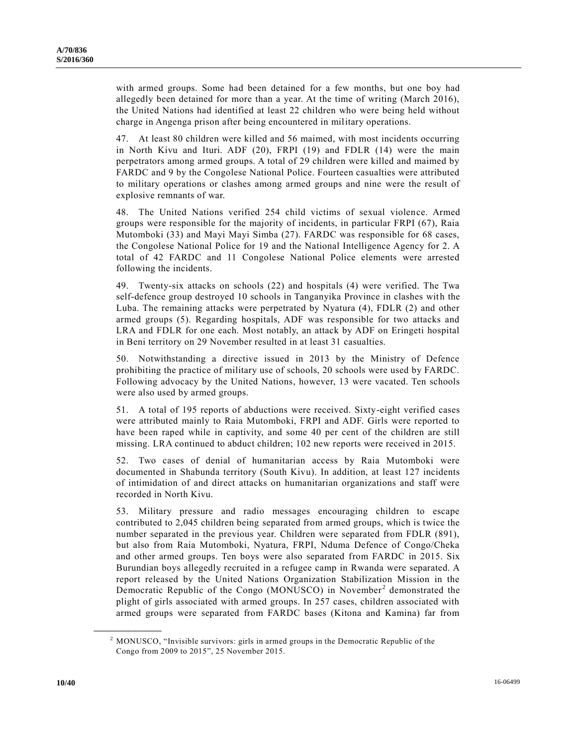with armed groups. Some had been detained for a few months, but one boy had allegedly been detained for more than a year. At the time of writing (March 2016), the United Nations had identified at least 22 children who were being held without charge in Angenga prison after being encountered in military operations.

47. At least 80 children were killed and 56 maimed, with most incidents occurring in North Kivu and Ituri. ADF (20), FRPI (19) and FDLR (14) were the main perpetrators among armed groups. A total of 29 children were killed and maimed by FARDC and 9 by the Congolese National Police. Fourteen casualties were attributed to military operations or clashes among armed groups and nine were the result of explosive remnants of war.

48. The United Nations verified 254 child victims of sexual violence. Armed groups were responsible for the majority of incidents, in particular FRPI (67), Raia Mutomboki (33) and Mayi Mayi Simba (27). FARDC was responsible for 68 cases, the Congolese National Police for 19 and the National Intelligence Agency for 2. A total of 42 FARDC and 11 Congolese National Police elements were arrested following the incidents.

49. Twenty-six attacks on schools (22) and hospitals (4) were verified. The Twa self-defence group destroyed 10 schools in Tanganyika Province in clashes with the Luba. The remaining attacks were perpetrated by Nyatura (4), FDLR (2) and other armed groups (5). Regarding hospitals, ADF was responsible for two attacks and LRA and FDLR for one each. Most notably, an attack by ADF on Eringeti hospital in Beni territory on 29 November resulted in at least 31 casualties.

50. Notwithstanding a directive issued in 2013 by the Ministry of Defence prohibiting the practice of military use of schools, 20 schools were used by FARDC. Following advocacy by the United Nations, however, 13 were vacated. Ten schools were also used by armed groups.

51. A total of 195 reports of abductions were received. Sixty-eight verified cases were attributed mainly to Raia Mutomboki, FRPI and ADF. Girls were reported to have been raped while in captivity, and some 40 per cent of the children are still missing. LRA continued to abduct children; 102 new reports were received in 2015.

52. Two cases of denial of humanitarian access by Raia Mutomboki were documented in Shabunda territory (South Kivu). In addition, at least 127 incidents of intimidation of and direct attacks on humanitarian organizations and staff were recorded in North Kivu.

53. Military pressure and radio messages encouraging children to escape contributed to 2,045 children being separated from armed groups, which is twice the number separated in the previous year. Children were separated from FDLR (891), but also from Raia Mutomboki, Nyatura, FRPI, Nduma Defence of Congo/Cheka and other armed groups. Ten boys were also separated from FARDC in 2015. Six Burundian boys allegedly recruited in a refugee camp in Rwanda were separated. A report released by the United Nations Organization Stabilization Mission in the Democratic Republic of the Congo (MONUSCO) in November<sup>2</sup> demonstrated the plight of girls associated with armed groups. In 257 cases, children associated with armed groups were separated from FARDC bases (Kitona and Kamina) far from

**\_\_\_\_\_\_\_\_\_\_\_\_\_\_\_\_\_\_**

<sup>2</sup> MONUSCO, "Invisible survivors: girls in armed groups in the Democratic Republic of the Congo from 2009 to 2015", 25 November 2015.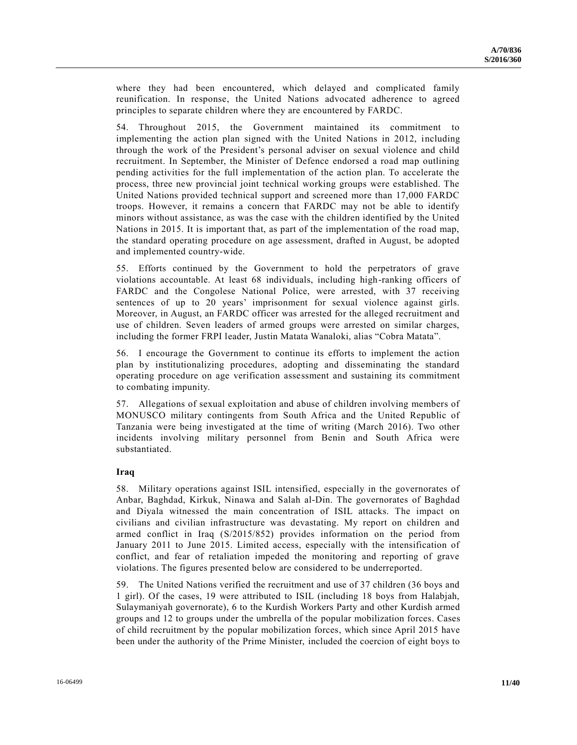where they had been encountered, which delayed and complicated family reunification. In response, the United Nations advocated adherence to agreed principles to separate children where they are encountered by FARDC.

54. Throughout 2015, the Government maintained its commitment to implementing the action plan signed with the United Nations in 2012, including through the work of the President's personal adviser on sexual violence and child recruitment. In September, the Minister of Defence endorsed a road map outlining pending activities for the full implementation of the action plan. To accelerate the process, three new provincial joint technical working groups were established. The United Nations provided technical support and screened more than 17,000 FARDC troops. However, it remains a concern that FARDC may not be able to identify minors without assistance, as was the case with the children identified by the United Nations in 2015. It is important that, as part of the implementation of the road map, the standard operating procedure on age assessment, drafted in August, be adopted and implemented country-wide.

55. Efforts continued by the Government to hold the perpetrators of grave violations accountable. At least 68 individuals, including high-ranking officers of FARDC and the Congolese National Police, were arrested, with 37 receiving sentences of up to 20 years' imprisonment for sexual violence against girls. Moreover, in August, an FARDC officer was arrested for the alleged recruitment and use of children. Seven leaders of armed groups were arrested on similar charges, including the former FRPI leader, Justin Matata Wanaloki, alias "Cobra Matata".

56. I encourage the Government to continue its efforts to implement the action plan by institutionalizing procedures, adopting and disseminating the standard operating procedure on age verification assessment and sustaining its commitment to combating impunity.

57. Allegations of sexual exploitation and abuse of children involving members of MONUSCO military contingents from South Africa and the United Republic of Tanzania were being investigated at the time of writing (March 2016). Two other incidents involving military personnel from Benin and South Africa were substantiated.

#### **Iraq**

58. Military operations against ISIL intensified, especially in the governorates of Anbar, Baghdad, Kirkuk, Ninawa and Salah al-Din. The governorates of Baghdad and Diyala witnessed the main concentration of ISIL attacks. The impact on civilians and civilian infrastructure was devastating. My report on children and armed conflict in Iraq [\(S/2015/852\)](http://undocs.org/S/2015/852) provides information on the period from January 2011 to June 2015. Limited access, especially with the intensification of conflict, and fear of retaliation impeded the monitoring and reporting of grave violations. The figures presented below are considered to be underreported.

59. The United Nations verified the recruitment and use of 37 children (36 boys and 1 girl). Of the cases, 19 were attributed to ISIL (including 18 boys from Halabjah, Sulaymaniyah governorate), 6 to the Kurdish Workers Party and other Kurdish armed groups and 12 to groups under the umbrella of the popular mobilization forces. Cases of child recruitment by the popular mobilization forces, which since April 2015 have been under the authority of the Prime Minister, included the coercion of eight boys to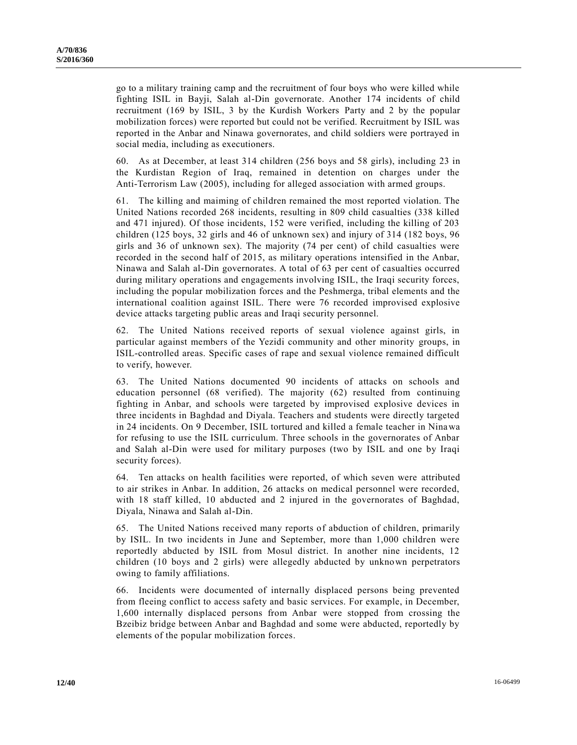go to a military training camp and the recruitment of four boys who were killed while fighting ISIL in Bayji, Salah al-Din governorate. Another 174 incidents of child recruitment (169 by ISIL, 3 by the Kurdish Workers Party and 2 by the popular mobilization forces) were reported but could not be verified. Recruitment by ISIL was reported in the Anbar and Ninawa governorates, and child soldiers were portrayed in social media, including as executioners.

60. As at December, at least 314 children (256 boys and 58 girls), including 23 in the Kurdistan Region of Iraq, remained in detention on charges under the Anti-Terrorism Law (2005), including for alleged association with armed groups.

61. The killing and maiming of children remained the most reported violation. The United Nations recorded 268 incidents, resulting in 809 child casualties (338 killed and 471 injured). Of those incidents, 152 were verified, including the killing of 203 children (125 boys, 32 girls and 46 of unknown sex) and injury of 314 (182 boys, 96 girls and 36 of unknown sex). The majority (74 per cent) of child casualties were recorded in the second half of 2015, as military operations intensified in the Anbar, Ninawa and Salah al-Din governorates. A total of 63 per cent of casualties occurred during military operations and engagements involving ISIL, the Iraqi security forces, including the popular mobilization forces and the Peshmerga, tribal elements and the international coalition against ISIL. There were 76 recorded improvised explosive device attacks targeting public areas and Iraqi security personnel.

62. The United Nations received reports of sexual violence against girls, in particular against members of the Yezidi community and other minority groups, in ISIL-controlled areas. Specific cases of rape and sexual violence remained difficult to verify, however.

63. The United Nations documented 90 incidents of attacks on schools and education personnel (68 verified). The majority (62) resulted from continuing fighting in Anbar, and schools were targeted by improvised explosive devices in three incidents in Baghdad and Diyala. Teachers and students were directly targeted in 24 incidents. On 9 December, ISIL tortured and killed a female teacher in Ninawa for refusing to use the ISIL curriculum. Three schools in the governorates of Anbar and Salah al-Din were used for military purposes (two by ISIL and one by Iraqi security forces).

64. Ten attacks on health facilities were reported, of which seven were attributed to air strikes in Anbar. In addition, 26 attacks on medical personnel were recorded, with 18 staff killed, 10 abducted and 2 injured in the governorates of Baghdad, Diyala, Ninawa and Salah al-Din.

65. The United Nations received many reports of abduction of children, primarily by ISIL. In two incidents in June and September, more than 1,000 children were reportedly abducted by ISIL from Mosul district. In another nine incidents, 12 children (10 boys and 2 girls) were allegedly abducted by unknown perpetrators owing to family affiliations.

66. Incidents were documented of internally displaced persons being prevented from fleeing conflict to access safety and basic services. For example, in December, 1,600 internally displaced persons from Anbar were stopped from crossing the Bzeibiz bridge between Anbar and Baghdad and some were abducted, reportedly by elements of the popular mobilization forces.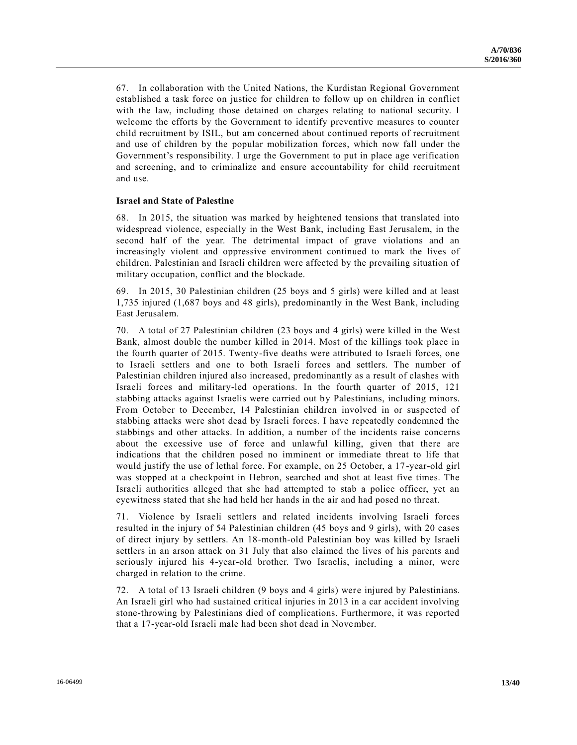67. In collaboration with the United Nations, the Kurdistan Regional Government established a task force on justice for children to follow up on children in conflict with the law, including those detained on charges relating to national security. I welcome the efforts by the Government to identify preventive measures to counter child recruitment by ISIL, but am concerned about continued reports of recruitment and use of children by the popular mobilization forces, which now fall under the Government's responsibility. I urge the Government to put in place age verification and screening, and to criminalize and ensure accountability for child recruitment and use.

#### **Israel and State of Palestine**

68. In 2015, the situation was marked by heightened tensions that translated into widespread violence, especially in the West Bank, including East Jerusalem, in the second half of the year. The detrimental impact of grave violations and an increasingly violent and oppressive environment continued to mark the lives of children. Palestinian and Israeli children were affected by the prevailing situation of military occupation, conflict and the blockade.

69. In 2015, 30 Palestinian children (25 boys and 5 girls) were killed and at least 1,735 injured (1,687 boys and 48 girls), predominantly in the West Bank, including East Jerusalem.

70. A total of 27 Palestinian children (23 boys and 4 girls) were killed in the West Bank, almost double the number killed in 2014. Most of the killings took place in the fourth quarter of 2015. Twenty-five deaths were attributed to Israeli forces, one to Israeli settlers and one to both Israeli forces and settlers. The number of Palestinian children injured also increased, predominantly as a result of clashes with Israeli forces and military-led operations. In the fourth quarter of 2015, 121 stabbing attacks against Israelis were carried out by Palestinians, including minors. From October to December, 14 Palestinian children involved in or suspected of stabbing attacks were shot dead by Israeli forces. I have repeatedly condemned the stabbings and other attacks. In addition, a number of the incidents raise concerns about the excessive use of force and unlawful killing, given that there are indications that the children posed no imminent or immediate threat to life that would justify the use of lethal force. For example, on 25 October, a 17 -year-old girl was stopped at a checkpoint in Hebron, searched and shot at least five times. The Israeli authorities alleged that she had attempted to stab a police officer, yet an eyewitness stated that she had held her hands in the air and had posed no threat.

71. Violence by Israeli settlers and related incidents involving Israeli forces resulted in the injury of 54 Palestinian children (45 boys and 9 girls), with 20 cases of direct injury by settlers. An 18-month-old Palestinian boy was killed by Israeli settlers in an arson attack on 31 July that also claimed the lives of his parents and seriously injured his 4-year-old brother. Two Israelis, including a minor, were charged in relation to the crime.

72. A total of 13 Israeli children (9 boys and 4 girls) were injured by Palestinians. An Israeli girl who had sustained critical injuries in 2013 in a car accident involving stone-throwing by Palestinians died of complications. Furthermore, it was reported that a 17-year-old Israeli male had been shot dead in November.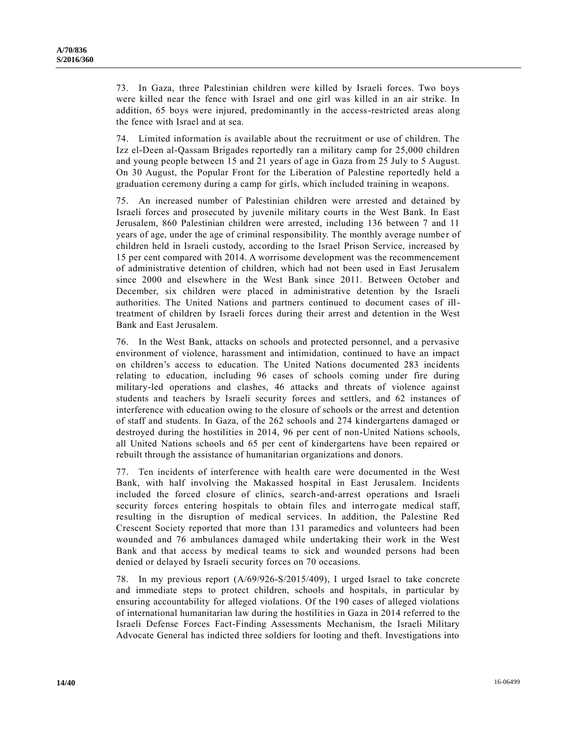73. In Gaza, three Palestinian children were killed by Israeli forces. Two boys were killed near the fence with Israel and one girl was killed in an air strike. In addition, 65 boys were injured, predominantly in the access-restricted areas along the fence with Israel and at sea.

74. Limited information is available about the recruitment or use of children. The Izz el-Deen al-Qassam Brigades reportedly ran a military camp for 25,000 children and young people between 15 and 21 years of age in Gaza from 25 July to 5 August. On 30 August, the Popular Front for the Liberation of Palestine reportedly held a graduation ceremony during a camp for girls, which included training in weapons.

75. An increased number of Palestinian children were arrested and detained by Israeli forces and prosecuted by juvenile military courts in the West Bank. In East Jerusalem, 860 Palestinian children were arrested, including 136 between 7 and 11 years of age, under the age of criminal responsibility. The monthly average number of children held in Israeli custody, according to the Israel Prison Service, increased by 15 per cent compared with 2014. A worrisome development was the recommencement of administrative detention of children, which had not been used in East Jerusalem since 2000 and elsewhere in the West Bank since 2011. Between October and December, six children were placed in administrative detention by the Israeli authorities. The United Nations and partners continued to document cases of illtreatment of children by Israeli forces during their arrest and detention in the West Bank and East Jerusalem.

76. In the West Bank, attacks on schools and protected personnel, and a pervasive environment of violence, harassment and intimidation, continued to have an impact on children's access to education. The United Nations documented 283 incidents relating to education, including 96 cases of schools coming under fire during military-led operations and clashes, 46 attacks and threats of violence against students and teachers by Israeli security forces and settlers, and 62 instances of interference with education owing to the closure of schools or the arrest and detention of staff and students. In Gaza, of the 262 schools and 274 kindergartens damaged or destroyed during the hostilities in 2014, 96 per cent of non-United Nations schools, all United Nations schools and 65 per cent of kindergartens have been repaired or rebuilt through the assistance of humanitarian organizations and donors.

77. Ten incidents of interference with health care were documented in the West Bank, with half involving the Makassed hospital in East Jerusalem. Incidents included the forced closure of clinics, search-and-arrest operations and Israeli security forces entering hospitals to obtain files and interrogate medical staff, resulting in the disruption of medical services. In addition, the Palestine Red Crescent Society reported that more than 131 paramedics and volunteers had been wounded and 76 ambulances damaged while undertaking their work in the West Bank and that access by medical teams to sick and wounded persons had been denied or delayed by Israeli security forces on 70 occasions.

78. In my previous report [\(A/69/926-S/2015/409\)](http://undocs.org/A/69/926), I urged Israel to take concrete and immediate steps to protect children, schools and hospitals, in particular by ensuring accountability for alleged violations. Of the 190 cases of alleged violations of international humanitarian law during the hostilities in Gaza in 2014 referred to the Israeli Defense Forces Fact-Finding Assessments Mechanism, the Israeli Military Advocate General has indicted three soldiers for looting and theft. Investigations into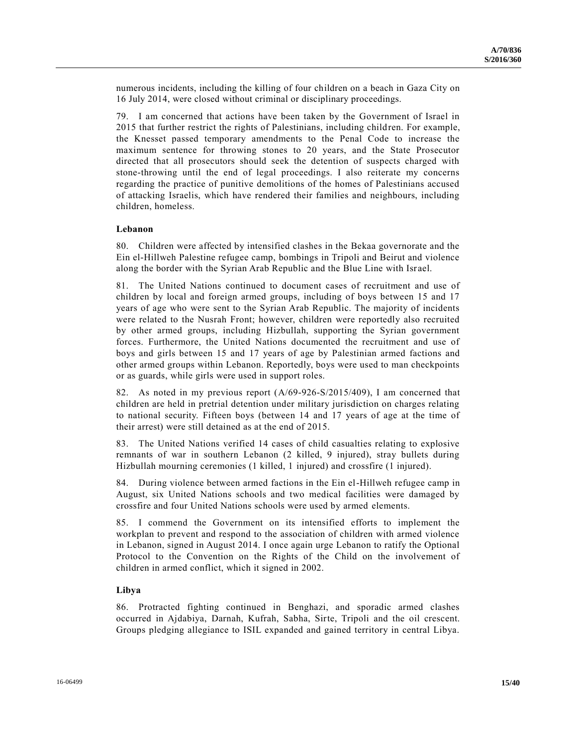numerous incidents, including the killing of four children on a beach in Gaza City on 16 July 2014, were closed without criminal or disciplinary proceedings.

79. I am concerned that actions have been taken by the Government of Israel in 2015 that further restrict the rights of Palestinians, including children. For example, the Knesset passed temporary amendments to the Penal Code to increase the maximum sentence for throwing stones to 20 years, and the State Prosecutor directed that all prosecutors should seek the detention of suspects charged with stone-throwing until the end of legal proceedings. I also reiterate my concerns regarding the practice of punitive demolitions of the homes of Palestinians accused of attacking Israelis, which have rendered their families and neighbours, including children, homeless.

#### **Lebanon**

80. Children were affected by intensified clashes in the Bekaa governorate and the Ein el-Hillweh Palestine refugee camp, bombings in Tripoli and Beirut and violence along the border with the Syrian Arab Republic and the Blue Line with Israel.

81. The United Nations continued to document cases of recruitment and use of children by local and foreign armed groups, including of boys between 15 and 17 years of age who were sent to the Syrian Arab Republic. The majority of incidents were related to the Nusrah Front; however, children were reportedly also recruited by other armed groups, including Hizbullah, supporting the Syrian government forces. Furthermore, the United Nations documented the recruitment and use of boys and girls between 15 and 17 years of age by Palestinian armed factions and other armed groups within Lebanon. Reportedly, boys were used to man checkpoints or as guards, while girls were used in support roles.

82. As noted in my previous report [\(A/69-926-S/2015/409\)](http://undocs.org/A/69), I am concerned that children are held in pretrial detention under military jurisdiction on charges relating to national security. Fifteen boys (between 14 and 17 years of age at the time of their arrest) were still detained as at the end of 2015.

83. The United Nations verified 14 cases of child casualties relating to explosive remnants of war in southern Lebanon (2 killed, 9 injured), stray bullets during Hizbullah mourning ceremonies (1 killed, 1 injured) and crossfire (1 injured).

84. During violence between armed factions in the Ein el-Hillweh refugee camp in August, six United Nations schools and two medical facilities were damaged by crossfire and four United Nations schools were used by armed elements.

85. I commend the Government on its intensified efforts to implement the workplan to prevent and respond to the association of children with armed violence in Lebanon, signed in August 2014. I once again urge Lebanon to ratify the Optional Protocol to the Convention on the Rights of the Child on the involvement of children in armed conflict, which it signed in 2002.

#### **Libya**

86. Protracted fighting continued in Benghazi, and sporadic armed clashes occurred in Ajdabiya, Darnah, Kufrah, Sabha, Sirte, Tripoli and the oil crescent. Groups pledging allegiance to ISIL expanded and gained territory in central Libya.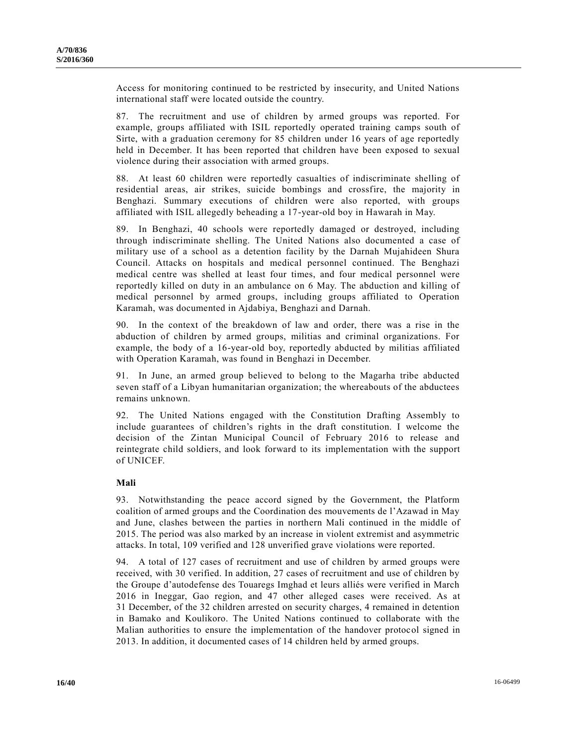Access for monitoring continued to be restricted by insecurity, and United Nations international staff were located outside the country.

87. The recruitment and use of children by armed groups was reported. For example, groups affiliated with ISIL reportedly operated training camps south of Sirte, with a graduation ceremony for 85 children under 16 years of age reportedly held in December. It has been reported that children have been exposed to sexual violence during their association with armed groups.

88. At least 60 children were reportedly casualties of indiscriminate shelling of residential areas, air strikes, suicide bombings and crossfire, the majority in Benghazi. Summary executions of children were also reported, with groups affiliated with ISIL allegedly beheading a 17-year-old boy in Hawarah in May.

89. In Benghazi, 40 schools were reportedly damaged or destroyed, including through indiscriminate shelling. The United Nations also documented a case of military use of a school as a detention facility by the Darnah Mujahideen Shura Council. Attacks on hospitals and medical personnel continued. The Benghazi medical centre was shelled at least four times, and four medical personnel were reportedly killed on duty in an ambulance on 6 May. The abduction and killing of medical personnel by armed groups, including groups affiliated to Operation Karamah, was documented in Ajdabiya, Benghazi and Darnah.

90. In the context of the breakdown of law and order, there was a rise in the abduction of children by armed groups, militias and criminal organizations. For example, the body of a 16-year-old boy, reportedly abducted by militias affiliated with Operation Karamah, was found in Benghazi in December.

91. In June, an armed group believed to belong to the Magarha tribe abducted seven staff of a Libyan humanitarian organization; the whereabouts of the abductees remains unknown.

92. The United Nations engaged with the Constitution Drafting Assembly to include guarantees of children's rights in the draft constitution. I welcome the decision of the Zintan Municipal Council of February 2016 to release and reintegrate child soldiers, and look forward to its implementation with the support of UNICEF.

#### **Mali**

93. Notwithstanding the peace accord signed by the Government, the Platform coalition of armed groups and the Coordination des mouvements de l'Azawad in May and June, clashes between the parties in northern Mali continued in the middle of 2015. The period was also marked by an increase in violent extremist and asymmetric attacks. In total, 109 verified and 128 unverified grave violations were reported.

94. A total of 127 cases of recruitment and use of children by armed groups were received, with 30 verified. In addition, 27 cases of recruitment and use of children by the Groupe d'autodefense des Touaregs Imghad et leurs alliés were verified in March 2016 in Ineggar, Gao region, and 47 other alleged cases were received. As at 31 December, of the 32 children arrested on security charges, 4 remained in detention in Bamako and Koulikoro. The United Nations continued to collaborate with the Malian authorities to ensure the implementation of the handover protocol signed in 2013. In addition, it documented cases of 14 children held by armed groups.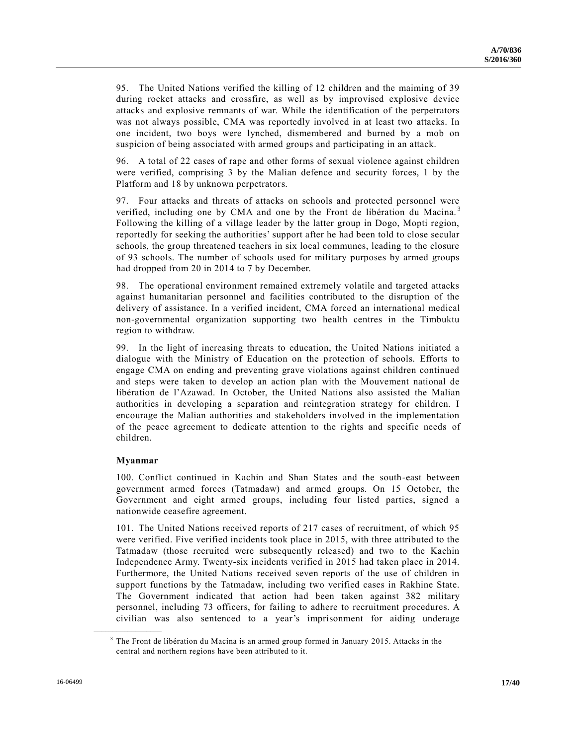95. The United Nations verified the killing of 12 children and the maiming of 39 during rocket attacks and crossfire, as well as by improvised explosive device attacks and explosive remnants of war. While the identification of the perpetrators was not always possible, CMA was reportedly involved in at least two attacks. In one incident, two boys were lynched, dismembered and burned by a mob on suspicion of being associated with armed groups and participating in an attack.

96. A total of 22 cases of rape and other forms of sexual violence against children were verified, comprising 3 by the Malian defence and security forces, 1 by the Platform and 18 by unknown perpetrators.

97. Four attacks and threats of attacks on schools and protected personnel were verified, including one by CMA and one by the Front de libération du Macina.<sup>3</sup> Following the killing of a village leader by the latter group in Dogo, Mopti region, reportedly for seeking the authorities' support after he had been told to close secular schools, the group threatened teachers in six local communes, leading to the closure of 93 schools. The number of schools used for military purposes by armed groups had dropped from 20 in 2014 to 7 by December.

98. The operational environment remained extremely volatile and targeted attacks against humanitarian personnel and facilities contributed to the disruption of the delivery of assistance. In a verified incident, CMA forced an international medical non-governmental organization supporting two health centres in the Timbuktu region to withdraw.

99. In the light of increasing threats to education, the United Nations initiated a dialogue with the Ministry of Education on the protection of schools. Efforts to engage CMA on ending and preventing grave violations against children continued and steps were taken to develop an action plan with the Mouvement national de libération de l'Azawad. In October, the United Nations also assisted the Malian authorities in developing a separation and reintegration strategy for children. I encourage the Malian authorities and stakeholders involved in the implementation of the peace agreement to dedicate attention to the rights and specific needs of children.

#### **Myanmar**

**\_\_\_\_\_\_\_\_\_\_\_\_\_\_\_\_\_\_**

100. Conflict continued in Kachin and Shan States and the south-east between government armed forces (Tatmadaw) and armed groups. On 15 October, the Government and eight armed groups, including four listed parties, signed a nationwide ceasefire agreement.

101. The United Nations received reports of 217 cases of recruitment, of which 95 were verified. Five verified incidents took place in 2015, with three attributed to the Tatmadaw (those recruited were subsequently released) and two to the Kachin Independence Army. Twenty-six incidents verified in 2015 had taken place in 2014. Furthermore, the United Nations received seven reports of the use of children in support functions by the Tatmadaw, including two verified cases in Rakhine State. The Government indicated that action had been taken against 382 military personnel, including 73 officers, for failing to adhere to recruitment procedures. A civilian was also sentenced to a year's imprisonment for aiding underage

 $3$  The Front de libération du Macina is an armed group formed in January 2015. Attacks in the central and northern regions have been attributed to it.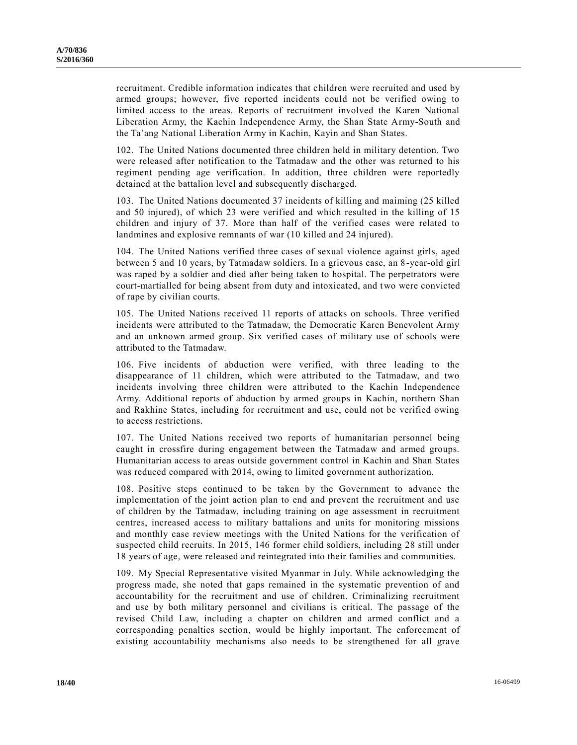recruitment. Credible information indicates that children were recruited and used by armed groups; however, five reported incidents could not be verified owing to limited access to the areas. Reports of recruitment involved the Karen National Liberation Army, the Kachin Independence Army, the Shan State Army-South and the Ta'ang National Liberation Army in Kachin, Kayin and Shan States.

102. The United Nations documented three children held in military detention. Two were released after notification to the Tatmadaw and the other was returned to his regiment pending age verification. In addition, three children were reportedly detained at the battalion level and subsequently discharged.

103. The United Nations documented 37 incidents of killing and maiming (25 killed and 50 injured), of which 23 were verified and which resulted in the killing of 15 children and injury of 37. More than half of the verified cases were related to landmines and explosive remnants of war (10 killed and 24 injured).

104. The United Nations verified three cases of sexual violence against girls, aged between 5 and 10 years, by Tatmadaw soldiers. In a grievous case, an 8-year-old girl was raped by a soldier and died after being taken to hospital. The perpetrators were court-martialled for being absent from duty and intoxicated, and two were convicted of rape by civilian courts.

105. The United Nations received 11 reports of attacks on schools. Three verified incidents were attributed to the Tatmadaw, the Democratic Karen Benevolent Army and an unknown armed group. Six verified cases of military use of schools were attributed to the Tatmadaw.

106. Five incidents of abduction were verified, with three leading to the disappearance of 11 children, which were attributed to the Tatmadaw, and two incidents involving three children were attributed to the Kachin Independence Army. Additional reports of abduction by armed groups in Kachin, northern Shan and Rakhine States, including for recruitment and use, could not be verified owing to access restrictions.

107. The United Nations received two reports of humanitarian personnel being caught in crossfire during engagement between the Tatmadaw and armed groups. Humanitarian access to areas outside government control in Kachin and Shan States was reduced compared with 2014, owing to limited government authorization.

108. Positive steps continued to be taken by the Government to advance the implementation of the joint action plan to end and prevent the recruitment and use of children by the Tatmadaw, including training on age assessment in recruitment centres, increased access to military battalions and units for monitoring missions and monthly case review meetings with the United Nations for the verification of suspected child recruits. In 2015, 146 former child soldiers, including 28 still under 18 years of age, were released and reintegrated into their families and communities.

109. My Special Representative visited Myanmar in July. While acknowledging the progress made, she noted that gaps remained in the systematic prevention of and accountability for the recruitment and use of children. Criminalizing recruitment and use by both military personnel and civilians is critical. The passage of the revised Child Law, including a chapter on children and armed conflict and a corresponding penalties section, would be highly important. The enforcement of existing accountability mechanisms also needs to be strengthened for all grave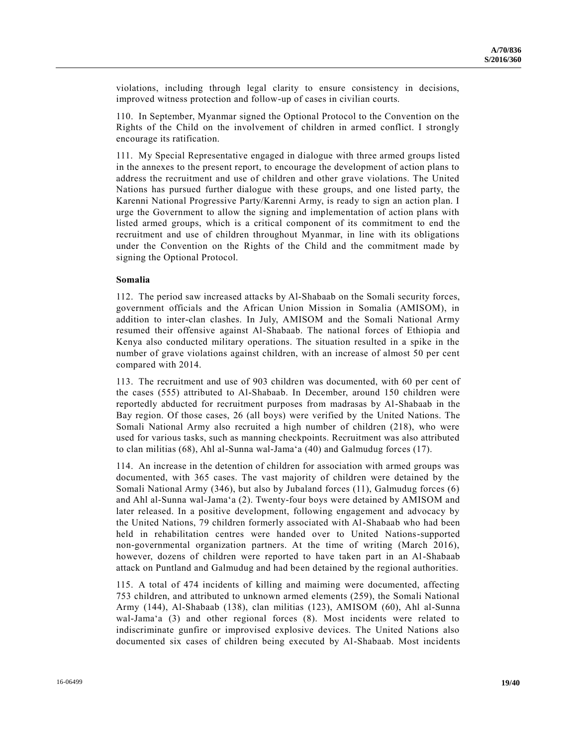violations, including through legal clarity to ensure consistency in decisions, improved witness protection and follow-up of cases in civilian courts.

110. In September, Myanmar signed the Optional Protocol to the Convention on the Rights of the Child on the involvement of children in armed conflict. I strongly encourage its ratification.

111. My Special Representative engaged in dialogue with three armed groups listed in the annexes to the present report, to encourage the development of action plans to address the recruitment and use of children and other grave violations. The United Nations has pursued further dialogue with these groups, and one listed party, the Karenni National Progressive Party/Karenni Army, is ready to sign an action plan. I urge the Government to allow the signing and implementation of action plans with listed armed groups, which is a critical component of its commitment to end the recruitment and use of children throughout Myanmar, in line with its obligations under the Convention on the Rights of the Child and the commitment made by signing the Optional Protocol.

#### **Somalia**

112. The period saw increased attacks by Al-Shabaab on the Somali security forces, government officials and the African Union Mission in Somalia (AMISOM), in addition to inter-clan clashes. In July, AMISOM and the Somali National Army resumed their offensive against Al-Shabaab. The national forces of Ethiopia and Kenya also conducted military operations. The situation resulted in a spike in the number of grave violations against children, with an increase of almost 50 per cent compared with 2014.

113. The recruitment and use of 903 children was documented, with 60 per cent of the cases (555) attributed to Al-Shabaab. In December, around 150 children were reportedly abducted for recruitment purposes from madrasas by Al-Shabaab in the Bay region. Of those cases, 26 (all boys) were verified by the United Nations. The Somali National Army also recruited a high number of children (218), who were used for various tasks, such as manning checkpoints. Recruitment was also attributed to clan militias (68), Ahl al-Sunna wal-Jama'a (40) and Galmudug forces (17).

114. An increase in the detention of children for association with armed groups was documented, with 365 cases. The vast majority of children were detained by the Somali National Army (346), but also by Jubaland forces (11), Galmudug forces (6) and Ahl al-Sunna wal-Jama'a (2). Twenty-four boys were detained by AMISOM and later released. In a positive development, following engagement and advocacy by the United Nations, 79 children formerly associated with Al-Shabaab who had been held in rehabilitation centres were handed over to United Nations-supported non-governmental organization partners. At the time of writing (March 2016), however, dozens of children were reported to have taken part in an Al-Shabaab attack on Puntland and Galmudug and had been detained by the regional authorities.

115. A total of 474 incidents of killing and maiming were documented, affecting 753 children, and attributed to unknown armed elements (259), the Somali National Army (144), Al-Shabaab (138), clan militias (123), AMISOM (60), Ahl al-Sunna wal-Jama'a (3) and other regional forces (8). Most incidents were related to indiscriminate gunfire or improvised explosive devices. The United Nations also documented six cases of children being executed by Al-Shabaab. Most incidents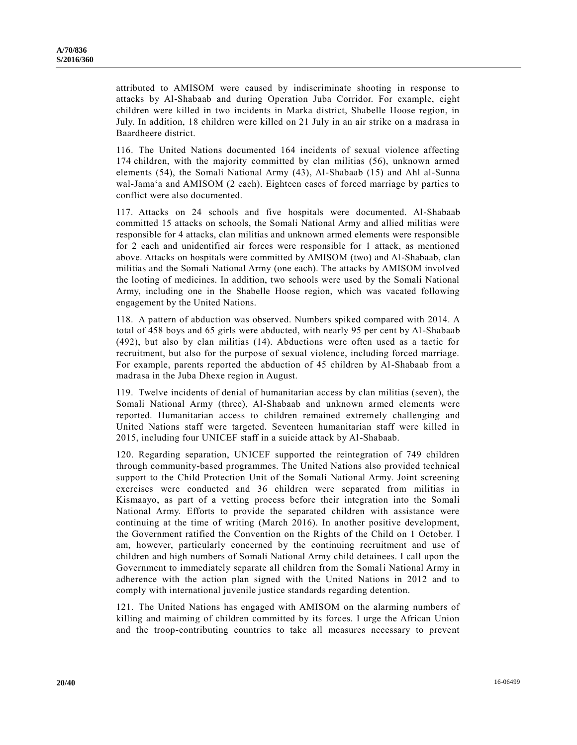attributed to AMISOM were caused by indiscriminate shooting in response to attacks by Al-Shabaab and during Operation Juba Corridor. For example, eight children were killed in two incidents in Marka district, Shabelle Hoose region, in July. In addition, 18 children were killed on 21 July in an air strike on a madrasa in Baardheere district.

116. The United Nations documented 164 incidents of sexual violence affecting 174 children, with the majority committed by clan militias (56), unknown armed elements (54), the Somali National Army (43), Al-Shabaab (15) and Ahl al-Sunna wal-Jama'a and AMISOM (2 each). Eighteen cases of forced marriage by parties to conflict were also documented.

117. Attacks on 24 schools and five hospitals were documented. Al-Shabaab committed 15 attacks on schools, the Somali National Army and allied militias were responsible for 4 attacks, clan militias and unknown armed elements were responsible for 2 each and unidentified air forces were responsible for 1 attack, as mentioned above. Attacks on hospitals were committed by AMISOM (two) and Al-Shabaab, clan militias and the Somali National Army (one each). The attacks by AMISOM involved the looting of medicines. In addition, two schools were used by the Somali National Army, including one in the Shabelle Hoose region, which was vacated following engagement by the United Nations.

118. A pattern of abduction was observed. Numbers spiked compared with 2014. A total of 458 boys and 65 girls were abducted, with nearly 95 per cent by Al-Shabaab (492), but also by clan militias (14). Abductions were often used as a tactic for recruitment, but also for the purpose of sexual violence, including forced marriage. For example, parents reported the abduction of 45 children by Al-Shabaab from a madrasa in the Juba Dhexe region in August.

119. Twelve incidents of denial of humanitarian access by clan militias (seven), the Somali National Army (three), Al-Shabaab and unknown armed elements were reported. Humanitarian access to children remained extremely challenging and United Nations staff were targeted. Seventeen humanitarian staff were killed in 2015, including four UNICEF staff in a suicide attack by Al-Shabaab.

120. Regarding separation, UNICEF supported the reintegration of 749 children through community-based programmes. The United Nations also provided technical support to the Child Protection Unit of the Somali National Army. Joint screening exercises were conducted and 36 children were separated from militias in Kismaayo, as part of a vetting process before their integration into the Somali National Army. Efforts to provide the separated children with assistance were continuing at the time of writing (March 2016). In another positive development, the Government ratified the Convention on the Rights of the Child on 1 October. I am, however, particularly concerned by the continuing recruitment and use of children and high numbers of Somali National Army child detainees. I call upon the Government to immediately separate all children from the Somali National Army in adherence with the action plan signed with the United Nations in 2012 and to comply with international juvenile justice standards regarding detention.

121. The United Nations has engaged with AMISOM on the alarming numbers of killing and maiming of children committed by its forces. I urge the African Union and the troop-contributing countries to take all measures necessary to prevent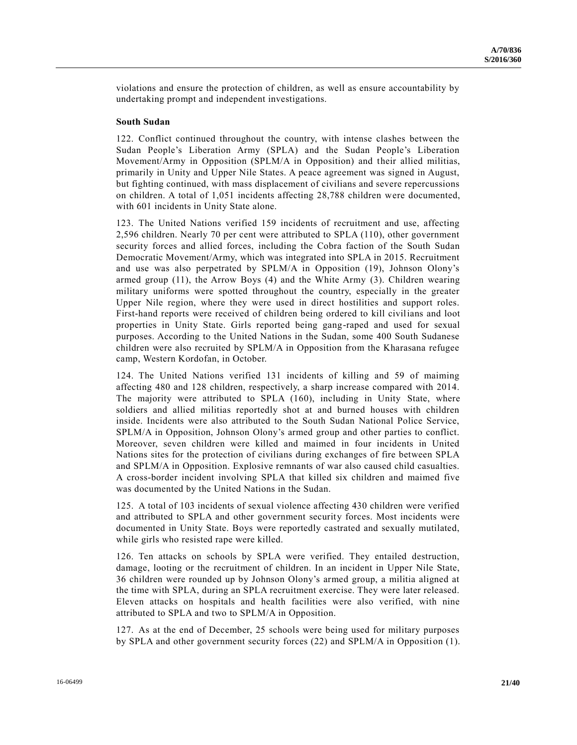violations and ensure the protection of children, as well as ensure accountability by undertaking prompt and independent investigations.

#### **South Sudan**

122. Conflict continued throughout the country, with intense clashes between the Sudan People's Liberation Army (SPLA) and the Sudan People's Liberation Movement/Army in Opposition (SPLM/A in Opposition) and their allied militias, primarily in Unity and Upper Nile States. A peace agreement was signed in August, but fighting continued, with mass displacement of civilians and severe repercussions on children. A total of 1,051 incidents affecting 28,788 children were documented, with 601 incidents in Unity State alone.

123. The United Nations verified 159 incidents of recruitment and use, affecting 2,596 children. Nearly 70 per cent were attributed to SPLA (110), other government security forces and allied forces, including the Cobra faction of the South Sudan Democratic Movement/Army, which was integrated into SPLA in 2015. Recruitment and use was also perpetrated by SPLM/A in Opposition (19), Johnson Olony's armed group (11), the Arrow Boys (4) and the White Army (3). Children wearing military uniforms were spotted throughout the country, especially in the greater Upper Nile region, where they were used in direct hostilities and support roles. First-hand reports were received of children being ordered to kill civilians and loot properties in Unity State. Girls reported being gang-raped and used for sexual purposes. According to the United Nations in the Sudan, some 400 South Sudanese children were also recruited by SPLM/A in Opposition from the Kharasana refugee camp, Western Kordofan, in October.

124. The United Nations verified 131 incidents of killing and 59 of maiming affecting 480 and 128 children, respectively, a sharp increase compared with 2014. The majority were attributed to SPLA (160), including in Unity State, where soldiers and allied militias reportedly shot at and burned houses with children inside. Incidents were also attributed to the South Sudan National Police Service, SPLM/A in Opposition, Johnson Olony's armed group and other parties to conflict. Moreover, seven children were killed and maimed in four incidents in United Nations sites for the protection of civilians during exchanges of fire between SPLA and SPLM/A in Opposition. Explosive remnants of war also caused child casualties. A cross-border incident involving SPLA that killed six children and maimed five was documented by the United Nations in the Sudan.

125. A total of 103 incidents of sexual violence affecting 430 children were verified and attributed to SPLA and other government security forces. Most incidents were documented in Unity State. Boys were reportedly castrated and sexually mutilated, while girls who resisted rape were killed.

126. Ten attacks on schools by SPLA were verified. They entailed destruction, damage, looting or the recruitment of children. In an incident in Upper Nile State, 36 children were rounded up by Johnson Olony's armed group, a militia aligned at the time with SPLA, during an SPLA recruitment exercise. They were later released. Eleven attacks on hospitals and health facilities were also verified, with nine attributed to SPLA and two to SPLM/A in Opposition.

127. As at the end of December, 25 schools were being used for military purposes by SPLA and other government security forces (22) and SPLM/A in Opposition (1).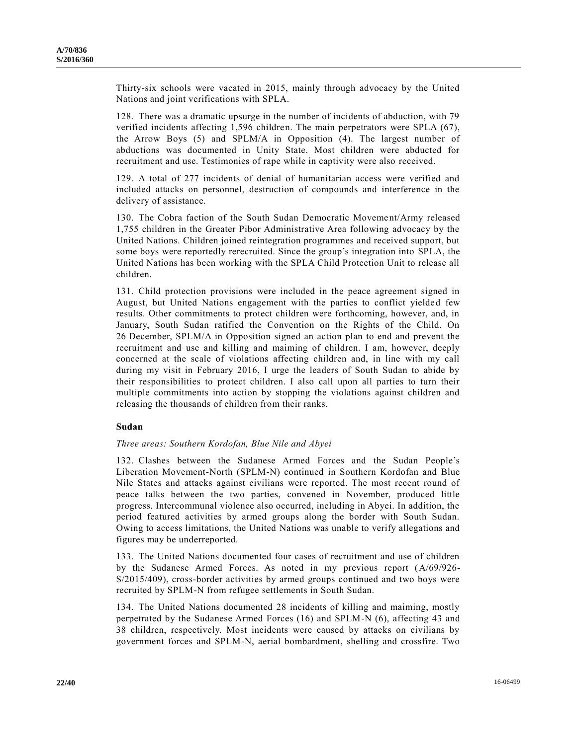Thirty-six schools were vacated in 2015, mainly through advocacy by the United Nations and joint verifications with SPLA.

128. There was a dramatic upsurge in the number of incidents of abduction, with 79 verified incidents affecting 1,596 children. The main perpetrators were SPLA (67), the Arrow Boys (5) and SPLM/A in Opposition (4). The largest number of abductions was documented in Unity State. Most children were abducted for recruitment and use. Testimonies of rape while in captivity were also received.

129. A total of 277 incidents of denial of humanitarian access were verified and included attacks on personnel, destruction of compounds and interference in the delivery of assistance.

130. The Cobra faction of the South Sudan Democratic Movement/Army released 1,755 children in the Greater Pibor Administrative Area following advocacy by the United Nations. Children joined reintegration programmes and received support, but some boys were reportedly rerecruited. Since the group's integration into SPLA, the United Nations has been working with the SPLA Child Protection Unit to release all children.

131. Child protection provisions were included in the peace agreement signed in August, but United Nations engagement with the parties to conflict yielded few results. Other commitments to protect children were forthcoming, however, and, in January, South Sudan ratified the Convention on the Rights of the Child. On 26 December, SPLM/A in Opposition signed an action plan to end and prevent the recruitment and use and killing and maiming of children. I am, however, deeply concerned at the scale of violations affecting children and, in line with my call during my visit in February 2016, I urge the leaders of South Sudan to abide by their responsibilities to protect children. I also call upon all parties to turn their multiple commitments into action by stopping the violations against children and releasing the thousands of children from their ranks.

#### **Sudan**

#### *Three areas: Southern Kordofan, Blue Nile and Abyei*

132. Clashes between the Sudanese Armed Forces and the Sudan People's Liberation Movement-North (SPLM-N) continued in Southern Kordofan and Blue Nile States and attacks against civilians were reported. The most recent round of peace talks between the two parties, convened in November, produced little progress. Intercommunal violence also occurred, including in Abyei. In addition, the period featured activities by armed groups along the border with South Sudan. Owing to access limitations, the United Nations was unable to verify allegations and figures may be underreported.

133. The United Nations documented four cases of recruitment and use of children by the Sudanese Armed Forces. As noted in my previous report [\(A/69/926-](http://undocs.org/A/69/926) [S/2015/409\)](http://undocs.org/A/69/926), cross-border activities by armed groups continued and two boys were recruited by SPLM-N from refugee settlements in South Sudan.

134. The United Nations documented 28 incidents of killing and maiming, mostly perpetrated by the Sudanese Armed Forces (16) and SPLM-N (6), affecting 43 and 38 children, respectively. Most incidents were caused by attacks on civilians by government forces and SPLM-N, aerial bombardment, shelling and crossfire. Two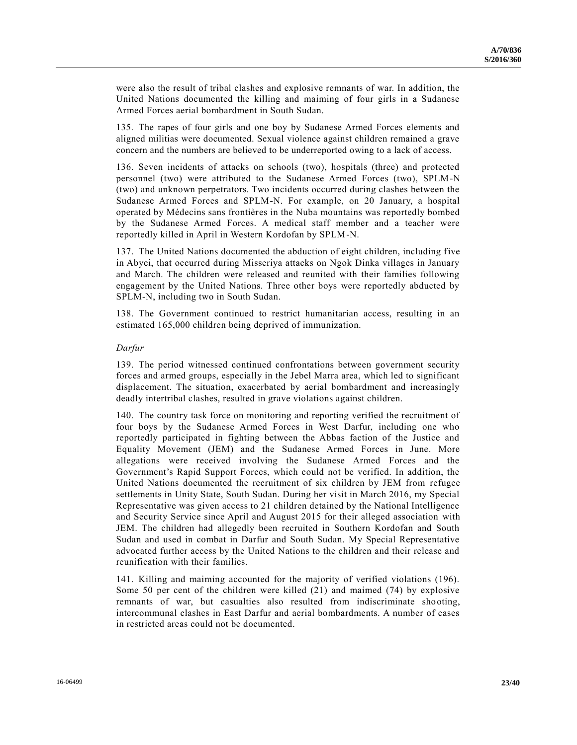were also the result of tribal clashes and explosive remnants of war. In addition, the United Nations documented the killing and maiming of four girls in a Sudanese Armed Forces aerial bombardment in South Sudan.

135. The rapes of four girls and one boy by Sudanese Armed Forces elements and aligned militias were documented. Sexual violence against children remained a grave concern and the numbers are believed to be underreported owing to a lack of access.

136. Seven incidents of attacks on schools (two), hospitals (three) and protected personnel (two) were attributed to the Sudanese Armed Forces (two), SPLM-N (two) and unknown perpetrators. Two incidents occurred during clashes between the Sudanese Armed Forces and SPLM-N. For example, on 20 January, a hospital operated by Médecins sans frontières in the Nuba mountains was reportedly bombed by the Sudanese Armed Forces. A medical staff member and a teacher were reportedly killed in April in Western Kordofan by SPLM-N.

137. The United Nations documented the abduction of eight children, including five in Abyei, that occurred during Misseriya attacks on Ngok Dinka villages in January and March. The children were released and reunited with their families following engagement by the United Nations. Three other boys were reportedly abducted by SPLM-N, including two in South Sudan.

138. The Government continued to restrict humanitarian access, resulting in an estimated 165,000 children being deprived of immunization.

#### *Darfur*

139. The period witnessed continued confrontations between government security forces and armed groups, especially in the Jebel Marra area, which led to significant displacement. The situation, exacerbated by aerial bombardment and increasingly deadly intertribal clashes, resulted in grave violations against children.

140. The country task force on monitoring and reporting verified the recruitment of four boys by the Sudanese Armed Forces in West Darfur, including one who reportedly participated in fighting between the Abbas faction of the Justice and Equality Movement (JEM) and the Sudanese Armed Forces in June. More allegations were received involving the Sudanese Armed Forces and the Government's Rapid Support Forces, which could not be verified. In addition, the United Nations documented the recruitment of six children by JEM from refugee settlements in Unity State, South Sudan. During her visit in March 2016, my Special Representative was given access to 21 children detained by the National Intelligence and Security Service since April and August 2015 for their alleged association with JEM. The children had allegedly been recruited in Southern Kordofan and South Sudan and used in combat in Darfur and South Sudan. My Special Representative advocated further access by the United Nations to the children and their release and reunification with their families.

141. Killing and maiming accounted for the majority of verified violations (196). Some 50 per cent of the children were killed (21) and maimed (74) by explosive remnants of war, but casualties also resulted from indiscriminate shooting, intercommunal clashes in East Darfur and aerial bombardments. A number of cases in restricted areas could not be documented.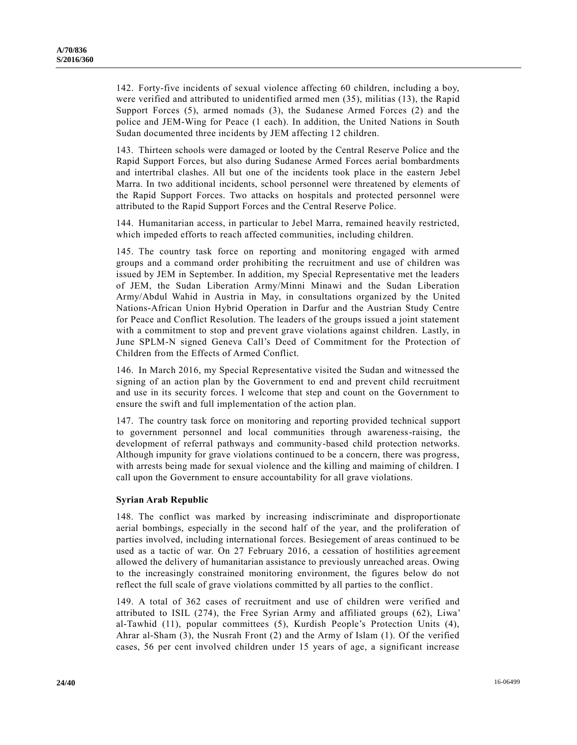142. Forty-five incidents of sexual violence affecting 60 children, including a boy, were verified and attributed to unidentified armed men (35), militias (13), the Rapid Support Forces (5), armed nomads (3), the Sudanese Armed Forces (2) and the police and JEM-Wing for Peace (1 each). In addition, the United Nations in South Sudan documented three incidents by JEM affecting 12 children.

143. Thirteen schools were damaged or looted by the Central Reserve Police and the Rapid Support Forces, but also during Sudanese Armed Forces aerial bombardments and intertribal clashes. All but one of the incidents took place in the eastern Jebel Marra. In two additional incidents, school personnel were threatened by elements of the Rapid Support Forces. Two attacks on hospitals and protected personnel were attributed to the Rapid Support Forces and the Central Reserve Police.

144. Humanitarian access, in particular to Jebel Marra, remained heavily restricted, which impeded efforts to reach affected communities, including children.

145. The country task force on reporting and monitoring engaged with armed groups and a command order prohibiting the recruitment and use of children was issued by JEM in September. In addition, my Special Representative met the leaders of JEM, the Sudan Liberation Army/Minni Minawi and the Sudan Liberation Army/Abdul Wahid in Austria in May, in consultations organized by the United Nations-African Union Hybrid Operation in Darfur and the Austrian Study Centre for Peace and Conflict Resolution. The leaders of the groups issued a joint statement with a commitment to stop and prevent grave violations against children. Lastly, in June SPLM-N signed Geneva Call's Deed of Commitment for the Protection of Children from the Effects of Armed Conflict.

146. In March 2016, my Special Representative visited the Sudan and witnessed the signing of an action plan by the Government to end and prevent child recruitment and use in its security forces. I welcome that step and count on the Government to ensure the swift and full implementation of the action plan.

147. The country task force on monitoring and reporting provided technical support to government personnel and local communities through awareness-raising, the development of referral pathways and community-based child protection networks. Although impunity for grave violations continued to be a concern, there was progress, with arrests being made for sexual violence and the killing and maiming of children. I call upon the Government to ensure accountability for all grave violations.

#### **Syrian Arab Republic**

148. The conflict was marked by increasing indiscriminate and disproportionate aerial bombings, especially in the second half of the year, and the proliferation of parties involved, including international forces. Besiegement of areas continued to be used as a tactic of war. On 27 February 2016, a cessation of hostilities agreement allowed the delivery of humanitarian assistance to previously unreached areas. Owing to the increasingly constrained monitoring environment, the figures below do not reflect the full scale of grave violations committed by all parties to the conflict.

149. A total of 362 cases of recruitment and use of children were verified and attributed to ISIL (274), the Free Syrian Army and affiliated groups (62), Liwa' al-Tawhid (11), popular committees (5), Kurdish People's Protection Units (4), Ahrar al-Sham (3), the Nusrah Front (2) and the Army of Islam (1). Of the verified cases, 56 per cent involved children under 15 years of age, a significant increase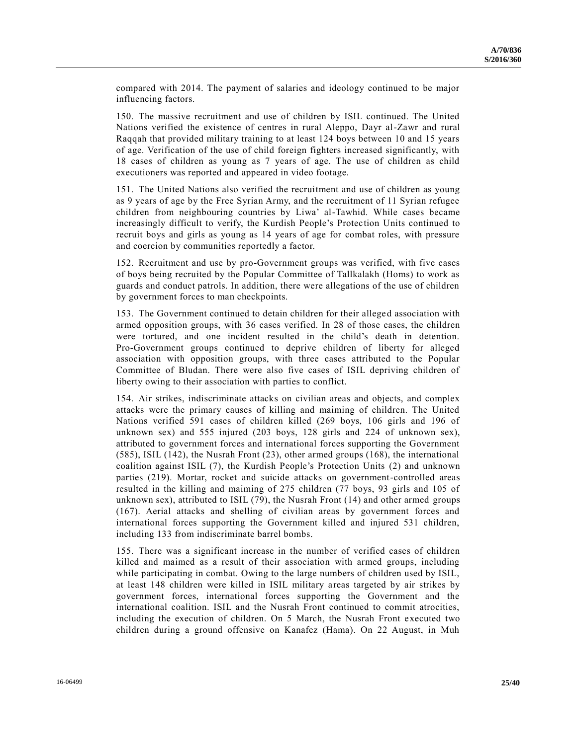compared with 2014. The payment of salaries and ideology continued to be major influencing factors.

150. The massive recruitment and use of children by ISIL continued. The United Nations verified the existence of centres in rural Aleppo, Dayr al-Zawr and rural Raqqah that provided military training to at least 124 boys between 10 and 15 years of age. Verification of the use of child foreign fighters increased significantly, with 18 cases of children as young as 7 years of age. The use of children as child executioners was reported and appeared in video footage.

151. The United Nations also verified the recruitment and use of children as young as 9 years of age by the Free Syrian Army, and the recruitment of 11 Syrian refugee children from neighbouring countries by Liwa' al-Tawhid. While cases became increasingly difficult to verify, the Kurdish People's Protection Units continued to recruit boys and girls as young as 14 years of age for combat roles, with pressure and coercion by communities reportedly a factor.

152. Recruitment and use by pro-Government groups was verified, with five cases of boys being recruited by the Popular Committee of Tallkalakh (Homs) to work as guards and conduct patrols. In addition, there were allegations of the use of children by government forces to man checkpoints.

153. The Government continued to detain children for their alleged association with armed opposition groups, with 36 cases verified. In 28 of those cases, the children were tortured, and one incident resulted in the child's death in detention. Pro-Government groups continued to deprive children of liberty for alleged association with opposition groups, with three cases attributed to the Popular Committee of Bludan. There were also five cases of ISIL depriving children of liberty owing to their association with parties to conflict.

154. Air strikes, indiscriminate attacks on civilian areas and objects, and complex attacks were the primary causes of killing and maiming of children. The United Nations verified 591 cases of children killed (269 boys, 106 girls and 196 of unknown sex) and 555 injured (203 boys, 128 girls and 224 of unknown sex), attributed to government forces and international forces supporting the Government (585), ISIL (142), the Nusrah Front (23), other armed groups (168), the international coalition against ISIL (7), the Kurdish People's Protection Units (2) and unknown parties (219). Mortar, rocket and suicide attacks on government-controlled areas resulted in the killing and maiming of 275 children (77 boys, 93 girls and 105 of unknown sex), attributed to ISIL (79), the Nusrah Front (14) and other armed groups (167). Aerial attacks and shelling of civilian areas by government forces and international forces supporting the Government killed and injured 531 children, including 133 from indiscriminate barrel bombs.

155. There was a significant increase in the number of verified cases of children killed and maimed as a result of their association with armed groups, including while participating in combat. Owing to the large numbers of children used by ISIL, at least 148 children were killed in ISIL military areas targeted by air strikes by government forces, international forces supporting the Government and the international coalition. ISIL and the Nusrah Front continued to commit atrocities, including the execution of children. On 5 March, the Nusrah Front executed two children during a ground offensive on Kanafez (Hama). On 22 August, in Muh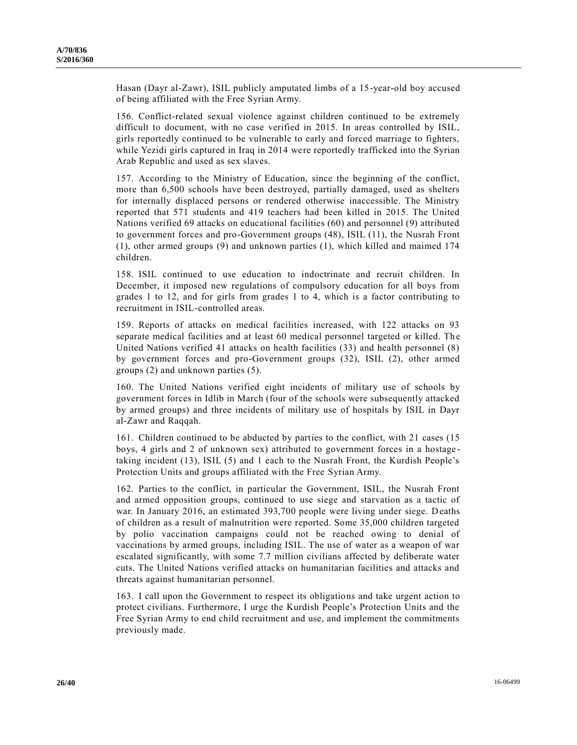Hasan (Dayr al-Zawr), ISIL publicly amputated limbs of a 15-year-old boy accused of being affiliated with the Free Syrian Army.

156. Conflict-related sexual violence against children continued to be extremely difficult to document, with no case verified in 2015. In areas controlled by ISIL, girls reportedly continued to be vulnerable to early and forced marriage to fighters, while Yezidi girls captured in Iraq in 2014 were reportedly trafficked into the Syrian Arab Republic and used as sex slaves.

157. According to the Ministry of Education, since the beginning of the conflict, more than 6,500 schools have been destroyed, partially damaged, used as shelters for internally displaced persons or rendered otherwise inaccessible. The Ministry reported that 571 students and 419 teachers had been killed in 2015. The United Nations verified 69 attacks on educational facilities (60) and personnel (9) attributed to government forces and pro-Government groups (48), ISIL (11), the Nusrah Front (1), other armed groups (9) and unknown parties (1), which killed and maimed 174 children.

158. ISIL continued to use education to indoctrinate and recruit children. In December, it imposed new regulations of compulsory education for all boys from grades 1 to 12, and for girls from grades 1 to 4, which is a factor contributing to recruitment in ISIL-controlled areas.

159. Reports of attacks on medical facilities increased, with 122 attacks on 93 separate medical facilities and at least 60 medical personnel targeted or killed. The United Nations verified 41 attacks on health facilities (33) and health personnel (8) by government forces and pro-Government groups (32), ISIL (2), other armed groups (2) and unknown parties (5).

160. The United Nations verified eight incidents of military use of schools by government forces in Idlib in March (four of the schools were subsequently attacked by armed groups) and three incidents of military use of hospitals by ISIL in Dayr al-Zawr and Raqqah.

161. Children continued to be abducted by parties to the conflict, with 21 cases (15 boys, 4 girls and 2 of unknown sex) attributed to government forces in a hostage taking incident (13), ISIL (5) and 1 each to the Nusrah Front, the Kurdish People's Protection Units and groups affiliated with the Free Syrian Army.

162. Parties to the conflict, in particular the Government, ISIL, the Nusrah Front and armed opposition groups, continued to use siege and starvation as a tactic of war. In January 2016, an estimated 393,700 people were living under siege. Deaths of children as a result of malnutrition were reported. Some 35,000 children targeted by polio vaccination campaigns could not be reached owing to denial of vaccinations by armed groups, including ISIL. The use of water as a weapon of war escalated significantly, with some 7.7 million civilians affected by deliberate water cuts. The United Nations verified attacks on humanitarian facilities and attacks and threats against humanitarian personnel.

163. I call upon the Government to respect its obligations and take urgent action to protect civilians. Furthermore, I urge the Kurdish People's Protection Units and the Free Syrian Army to end child recruitment and use, and implement the commitments previously made.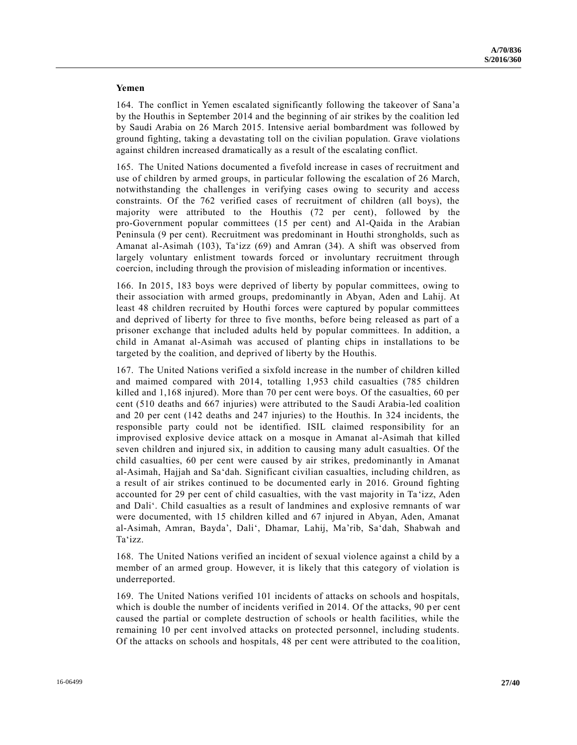#### **Yemen**

164. The conflict in Yemen escalated significantly following the takeover of Sana'a by the Houthis in September 2014 and the beginning of air strikes by the coalition led by Saudi Arabia on 26 March 2015. Intensive aerial bombardment was followed by ground fighting, taking a devastating toll on the civilian population. Grave violations against children increased dramatically as a result of the escalating conflict.

165. The United Nations documented a fivefold increase in cases of recruitment and use of children by armed groups, in particular following the escalation of 26 March, notwithstanding the challenges in verifying cases owing to security and access constraints. Of the 762 verified cases of recruitment of children (all boys), the majority were attributed to the Houthis (72 per cent), followed by the pro-Government popular committees (15 per cent) and Al-Qaida in the Arabian Peninsula (9 per cent). Recruitment was predominant in Houthi strongholds, such as Amanat al-Asimah (103), Ta'izz (69) and Amran (34). A shift was observed from largely voluntary enlistment towards forced or involuntary recruitment through coercion, including through the provision of misleading information or incentives.

166. In 2015, 183 boys were deprived of liberty by popular committees, owing to their association with armed groups, predominantly in Abyan, Aden and Lahij. At least 48 children recruited by Houthi forces were captured by popular committees and deprived of liberty for three to five months, before being released as part of a prisoner exchange that included adults held by popular committees. In addition, a child in Amanat al-Asimah was accused of planting chips in installations to be targeted by the coalition, and deprived of liberty by the Houthis.

167. The United Nations verified a sixfold increase in the number of children killed and maimed compared with 2014, totalling 1,953 child casualties (785 children killed and 1,168 injured). More than 70 per cent were boys. Of the casualties, 60 per cent (510 deaths and 667 injuries) were attributed to the Saudi Arabia-led coalition and 20 per cent (142 deaths and 247 injuries) to the Houthis. In 324 incidents, the responsible party could not be identified. ISIL claimed responsibility for an improvised explosive device attack on a mosque in Amanat al-Asimah that killed seven children and injured six, in addition to causing many adult casualties. Of the child casualties, 60 per cent were caused by air strikes, predominantly in Amanat al-Asimah, Hajjah and Sa'dah. Significant civilian casualties, including children, as a result of air strikes continued to be documented early in 2016. Ground fighting accounted for 29 per cent of child casualties, with the vast majority in Ta 'izz, Aden and Dali'. Child casualties as a result of landmines and explosive remnants of war were documented, with 15 children killed and 67 injured in Abyan, Aden, Amanat al-Asimah, Amran, Bayda', Dali', Dhamar, Lahij, Ma'rib, Sa'dah, Shabwah and Ta'izz.

168. The United Nations verified an incident of sexual violence against a child by a member of an armed group. However, it is likely that this category of violation is underreported.

169. The United Nations verified 101 incidents of attacks on schools and hospitals, which is double the number of incidents verified in 2014. Of the attacks,  $90$  per cent caused the partial or complete destruction of schools or health facilities, while the remaining 10 per cent involved attacks on protected personnel, including students. Of the attacks on schools and hospitals, 48 per cent were attributed to the coa lition,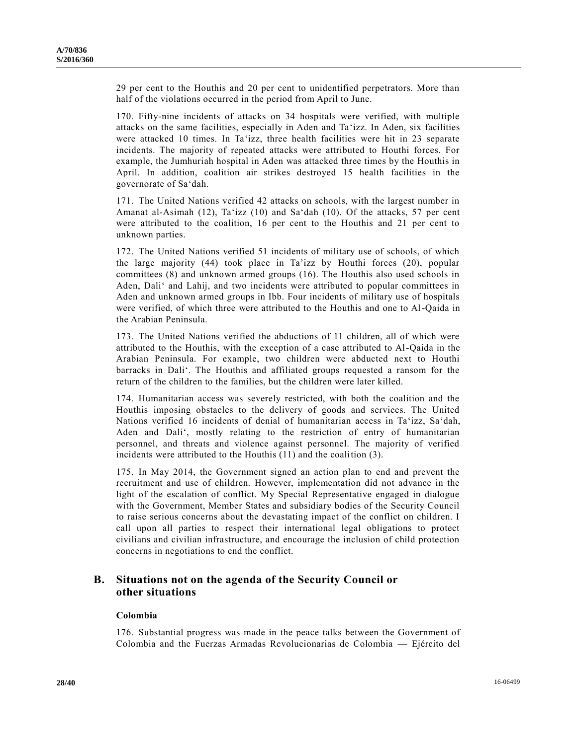29 per cent to the Houthis and 20 per cent to unidentified perpetrators. More than half of the violations occurred in the period from April to June.

170. Fifty-nine incidents of attacks on 34 hospitals were verified, with multiple attacks on the same facilities, especially in Aden and Ta'izz. In Aden, six facilities were attacked 10 times. In Ta'izz, three health facilities were hit in 23 separate incidents. The majority of repeated attacks were attributed to Houthi forces. For example, the Jumhuriah hospital in Aden was attacked three times by the Houthis in April. In addition, coalition air strikes destroyed 15 health facilities in the governorate of Sa'dah.

171. The United Nations verified 42 attacks on schools, with the largest number in Amanat al-Asimah (12), Ta'izz (10) and Sa'dah (10). Of the attacks, 57 per cent were attributed to the coalition, 16 per cent to the Houthis and 21 per cent to unknown parties.

172. The United Nations verified 51 incidents of military use of schools, of which the large majority (44) took place in Ta'izz by Houthi forces (20), popular committees (8) and unknown armed groups (16). The Houthis also used schools in Aden, Dali' and Lahij, and two incidents were attributed to popular committees in Aden and unknown armed groups in Ibb. Four incidents of military use of hospitals were verified, of which three were attributed to the Houthis and one to Al-Qaida in the Arabian Peninsula.

173. The United Nations verified the abductions of 11 children, all of which were attributed to the Houthis, with the exception of a case attributed to Al-Qaida in the Arabian Peninsula. For example, two children were abducted next to Houthi barracks in Dali'. The Houthis and affiliated groups requested a ransom for the return of the children to the families, but the children were later killed.

174. Humanitarian access was severely restricted, with both the coalition and the Houthis imposing obstacles to the delivery of goods and services. The United Nations verified 16 incidents of denial of humanitarian access in Ta'izz, Sa'dah, Aden and Dali', mostly relating to the restriction of entry of humanitarian personnel, and threats and violence against personnel. The majority of verified incidents were attributed to the Houthis (11) and the coalition (3).

175. In May 2014, the Government signed an action plan to end and prevent the recruitment and use of children. However, implementation did not advance in the light of the escalation of conflict. My Special Representative engaged in dialogue with the Government, Member States and subsidiary bodies of the Security Council to raise serious concerns about the devastating impact of the conflict on children. I call upon all parties to respect their international legal obligations to protect civilians and civilian infrastructure, and encourage the inclusion of child protection concerns in negotiations to end the conflict.

### **B. Situations not on the agenda of the Security Council or other situations**

#### **Colombia**

176. Substantial progress was made in the peace talks between the Government of Colombia and the Fuerzas Armadas Revolucionarias de Colombia — Ejército del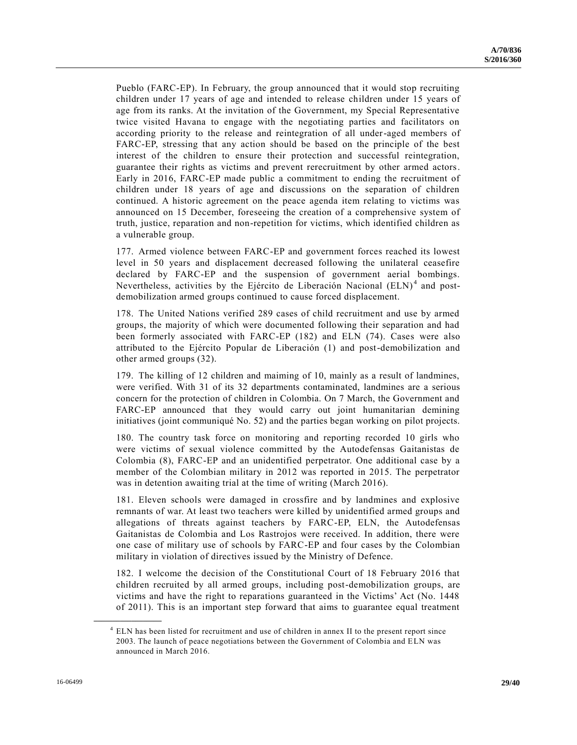Pueblo (FARC-EP). In February, the group announced that it would stop recruiting children under 17 years of age and intended to release children under 15 years of age from its ranks. At the invitation of the Government, my Special Representative twice visited Havana to engage with the negotiating parties and facilitators on according priority to the release and reintegration of all under-aged members of FARC-EP, stressing that any action should be based on the principle of the best interest of the children to ensure their protection and successful reintegration, guarantee their rights as victims and prevent rerecruitment by other armed actors. Early in 2016, FARC-EP made public a commitment to ending the recruitment of children under 18 years of age and discussions on the separation of children continued. A historic agreement on the peace agenda item relating to victims was announced on 15 December, foreseeing the creation of a comprehensive system of truth, justice, reparation and non-repetition for victims, which identified children as a vulnerable group.

177. Armed violence between FARC-EP and government forces reached its lowest level in 50 years and displacement decreased following the unilateral ceasefire declared by FARC-EP and the suspension of government aerial bombings. Nevertheless, activities by the Ejército de Liberación Nacional (ELN)<sup>4</sup> and postdemobilization armed groups continued to cause forced displacement.

178. The United Nations verified 289 cases of child recruitment and use by armed groups, the majority of which were documented following their separation and had been formerly associated with FARC-EP (182) and ELN (74). Cases were also attributed to the Ejército Popular de Liberación (1) and post-demobilization and other armed groups (32).

179. The killing of 12 children and maiming of 10, mainly as a result of landmines, were verified. With 31 of its 32 departments contaminated, landmines are a serious concern for the protection of children in Colombia. On 7 March, the Government and FARC-EP announced that they would carry out joint humanitarian demining initiatives (joint communiqué No. 52) and the parties began working on pilot projects.

180. The country task force on monitoring and reporting recorded 10 girls who were victims of sexual violence committed by the Autodefensas Gaitanistas de Colombia (8), FARC-EP and an unidentified perpetrator. One additional case by a member of the Colombian military in 2012 was reported in 2015. The perpetrator was in detention awaiting trial at the time of writing (March 2016).

181. Eleven schools were damaged in crossfire and by landmines and explosive remnants of war. At least two teachers were killed by unidentified armed groups and allegations of threats against teachers by FARC-EP, ELN, the Autodefensas Gaitanistas de Colombia and Los Rastrojos were received. In addition, there were one case of military use of schools by FARC-EP and four cases by the Colombian military in violation of directives issued by the Ministry of Defence.

182. I welcome the decision of the Constitutional Court of 18 February 2016 that children recruited by all armed groups, including post-demobilization groups, are victims and have the right to reparations guaranteed in the Victims' Act (No. 1448 of 2011). This is an important step forward that aims to guarantee equal treatment

**\_\_\_\_\_\_\_\_\_\_\_\_\_\_\_\_\_\_**

<sup>&</sup>lt;sup>4</sup> ELN has been listed for recruitment and use of children in annex II to the present report since 2003. The launch of peace negotiations between the Government of Colombia and ELN was announced in March 2016.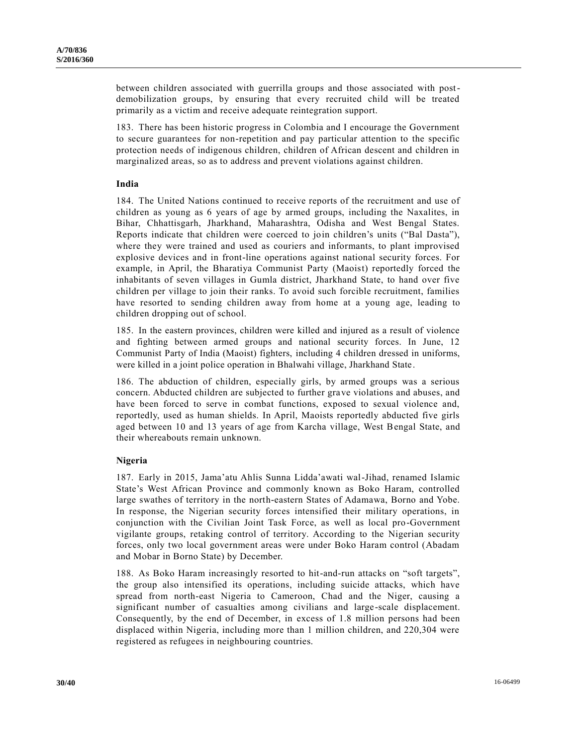between children associated with guerrilla groups and those associated with postdemobilization groups, by ensuring that every recruited child will be treated primarily as a victim and receive adequate reintegration support.

183. There has been historic progress in Colombia and I encourage the Government to secure guarantees for non-repetition and pay particular attention to the specific protection needs of indigenous children, children of African descent and children in marginalized areas, so as to address and prevent violations against children.

#### **India**

184. The United Nations continued to receive reports of the recruitment and use of children as young as 6 years of age by armed groups, including the Naxalites, in Bihar, Chhattisgarh, Jharkhand, Maharashtra, Odisha and West Bengal States. Reports indicate that children were coerced to join children's units ("Bal Dasta"), where they were trained and used as couriers and informants, to plant improvised explosive devices and in front-line operations against national security forces. For example, in April, the Bharatiya Communist Party (Maoist) reportedly forced the inhabitants of seven villages in Gumla district, Jharkhand State, to hand over five children per village to join their ranks. To avoid such forcible recruitment, families have resorted to sending children away from home at a young age, leading to children dropping out of school.

185. In the eastern provinces, children were killed and injured as a result of violence and fighting between armed groups and national security forces. In June, 12 Communist Party of India (Maoist) fighters, including 4 children dressed in uniforms, were killed in a joint police operation in Bhalwahi village, Jharkhand State.

186. The abduction of children, especially girls, by armed groups was a serious concern. Abducted children are subjected to further grave violations and abuses, and have been forced to serve in combat functions, exposed to sexual violence and, reportedly, used as human shields. In April, Maoists reportedly abducted five girls aged between 10 and 13 years of age from Karcha village, West Bengal State, and their whereabouts remain unknown.

#### **Nigeria**

187. Early in 2015, Jama'atu Ahlis Sunna Lidda'awati wal-Jihad, renamed Islamic State's West African Province and commonly known as Boko Haram, controlled large swathes of territory in the north-eastern States of Adamawa, Borno and Yobe. In response, the Nigerian security forces intensified their military operations, in conjunction with the Civilian Joint Task Force, as well as local pro-Government vigilante groups, retaking control of territory. According to the Nigerian security forces, only two local government areas were under Boko Haram control (Abadam and Mobar in Borno State) by December.

188. As Boko Haram increasingly resorted to hit-and-run attacks on "soft targets", the group also intensified its operations, including suicide attacks, which have spread from north-east Nigeria to Cameroon, Chad and the Niger, causing a significant number of casualties among civilians and large-scale displacement. Consequently, by the end of December, in excess of 1.8 million persons had been displaced within Nigeria, including more than 1 million children, and 220,304 were registered as refugees in neighbouring countries.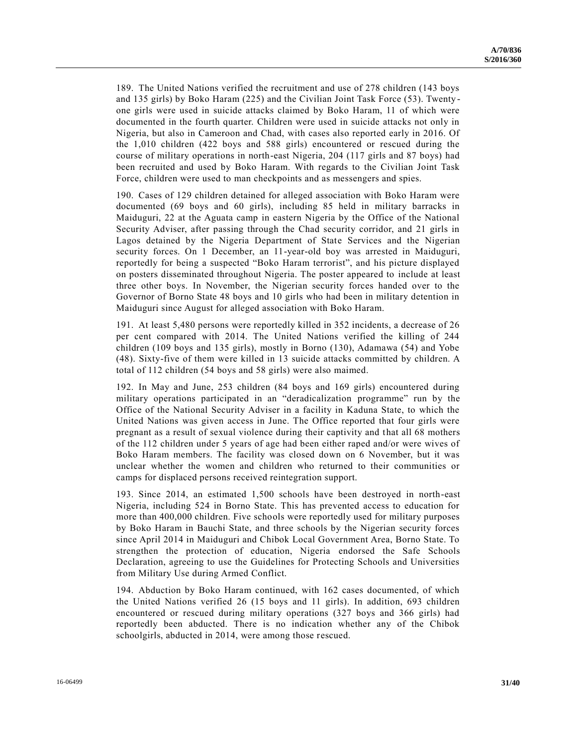189. The United Nations verified the recruitment and use of 278 children (143 boys and 135 girls) by Boko Haram (225) and the Civilian Joint Task Force (53). Twenty one girls were used in suicide attacks claimed by Boko Haram, 11 of which were documented in the fourth quarter. Children were used in suicide attacks not only in Nigeria, but also in Cameroon and Chad, with cases also reported early in 2016. Of the 1,010 children (422 boys and 588 girls) encountered or rescued during the course of military operations in north-east Nigeria, 204 (117 girls and 87 boys) had been recruited and used by Boko Haram. With regards to the Civilian Joint Task Force, children were used to man checkpoints and as messengers and spies.

190. Cases of 129 children detained for alleged association with Boko Haram were documented (69 boys and 60 girls), including 85 held in military barracks in Maiduguri, 22 at the Aguata camp in eastern Nigeria by the Office of the National Security Adviser, after passing through the Chad security corridor, and 21 girls in Lagos detained by the Nigeria Department of State Services and the Nigerian security forces. On 1 December, an 11-year-old boy was arrested in Maiduguri, reportedly for being a suspected "Boko Haram terrorist", and his picture displayed on posters disseminated throughout Nigeria. The poster appeared to include at least three other boys. In November, the Nigerian security forces handed over to the Governor of Borno State 48 boys and 10 girls who had been in military detention in Maiduguri since August for alleged association with Boko Haram.

191. At least 5,480 persons were reportedly killed in 352 incidents, a decrease of 26 per cent compared with 2014. The United Nations verified the killing of 244 children (109 boys and 135 girls), mostly in Borno (130), Adamawa (54) and Yobe (48). Sixty-five of them were killed in 13 suicide attacks committed by children. A total of 112 children (54 boys and 58 girls) were also maimed.

192. In May and June, 253 children (84 boys and 169 girls) encountered during military operations participated in an "deradicalization programme" run by the Office of the National Security Adviser in a facility in Kaduna State, to which the United Nations was given access in June. The Office reported that four girls were pregnant as a result of sexual violence during their captivity and that all 68 mothers of the 112 children under 5 years of age had been either raped and/or were wives of Boko Haram members. The facility was closed down on 6 November, but it was unclear whether the women and children who returned to their communities or camps for displaced persons received reintegration support.

193. Since 2014, an estimated 1,500 schools have been destroyed in north-east Nigeria, including 524 in Borno State. This has prevented access to education for more than 400,000 children. Five schools were reportedly used for military purposes by Boko Haram in Bauchi State, and three schools by the Nigerian security forces since April 2014 in Maiduguri and Chibok Local Government Area, Borno State. To strengthen the protection of education, Nigeria endorsed the Safe Schools Declaration, agreeing to use the Guidelines for Protecting Schools and Universities from Military Use during Armed Conflict.

194. Abduction by Boko Haram continued, with 162 cases documented, of which the United Nations verified 26 (15 boys and 11 girls). In addition, 693 children encountered or rescued during military operations (327 boys and 366 girls) had reportedly been abducted. There is no indication whether any of the Chibok schoolgirls, abducted in 2014, were among those rescued.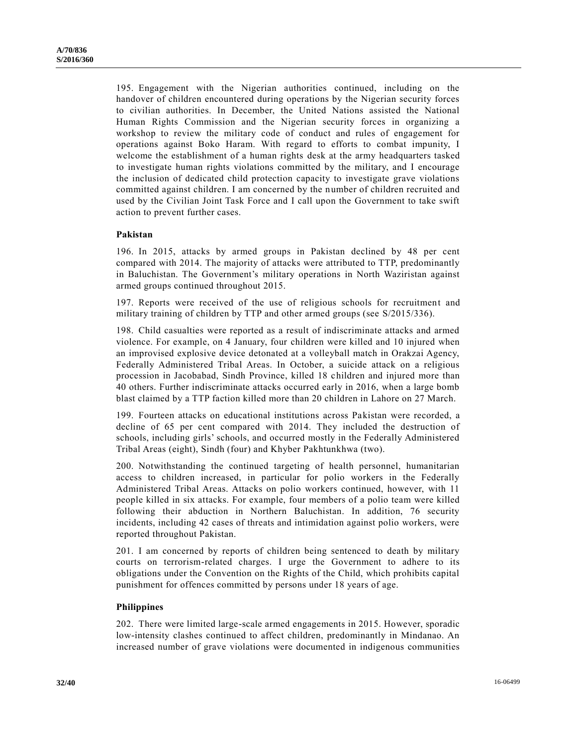195. Engagement with the Nigerian authorities continued, including on the handover of children encountered during operations by the Nigerian security forces to civilian authorities. In December, the United Nations assisted the National Human Rights Commission and the Nigerian security forces in organizing a workshop to review the military code of conduct and rules of engagement for operations against Boko Haram. With regard to efforts to combat impunity, I welcome the establishment of a human rights desk at the army headquarters tasked to investigate human rights violations committed by the military, and I encourage the inclusion of dedicated child protection capacity to investigate grave violations committed against children. I am concerned by the number of children recruited and used by the Civilian Joint Task Force and I call upon the Government to take swift action to prevent further cases.

#### **Pakistan**

196. In 2015, attacks by armed groups in Pakistan declined by 48 per cent compared with 2014. The majority of attacks were attributed to TTP, predominantly in Baluchistan. The Government's military operations in North Waziristan against armed groups continued throughout 2015.

197. Reports were received of the use of religious schools for recruitment and military training of children by TTP and other armed groups (see [S/2015/336\)](http://undocs.org/S/2015/336).

198. Child casualties were reported as a result of indiscriminate attacks and armed violence. For example, on 4 January, four children were killed and 10 injured when an improvised explosive device detonated at a volleyball match in Orakzai Agency, Federally Administered Tribal Areas. In October, a suicide attack on a religious procession in Jacobabad, Sindh Province, killed 18 children and injured more than 40 others. Further indiscriminate attacks occurred early in 2016, when a large bomb blast claimed by a TTP faction killed more than 20 children in Lahore on 27 March.

199. Fourteen attacks on educational institutions across Pakistan were recorded, a decline of 65 per cent compared with 2014. They included the destruction of schools, including girls' schools, and occurred mostly in the Federally Administered Tribal Areas (eight), Sindh (four) and Khyber Pakhtunkhwa (two).

200. Notwithstanding the continued targeting of health personnel, humanitarian access to children increased, in particular for polio workers in the Federally Administered Tribal Areas. Attacks on polio workers continued, however, with 11 people killed in six attacks. For example, four members of a polio team were killed following their abduction in Northern Baluchistan. In addition, 76 security incidents, including 42 cases of threats and intimidation against polio workers, were reported throughout Pakistan.

201. I am concerned by reports of children being sentenced to death by military courts on terrorism-related charges. I urge the Government to adhere to its obligations under the Convention on the Rights of the Child, which prohibits capital punishment for offences committed by persons under 18 years of age.

#### **Philippines**

202. There were limited large-scale armed engagements in 2015. However, sporadic low-intensity clashes continued to affect children, predominantly in Mindanao. An increased number of grave violations were documented in indigenous communities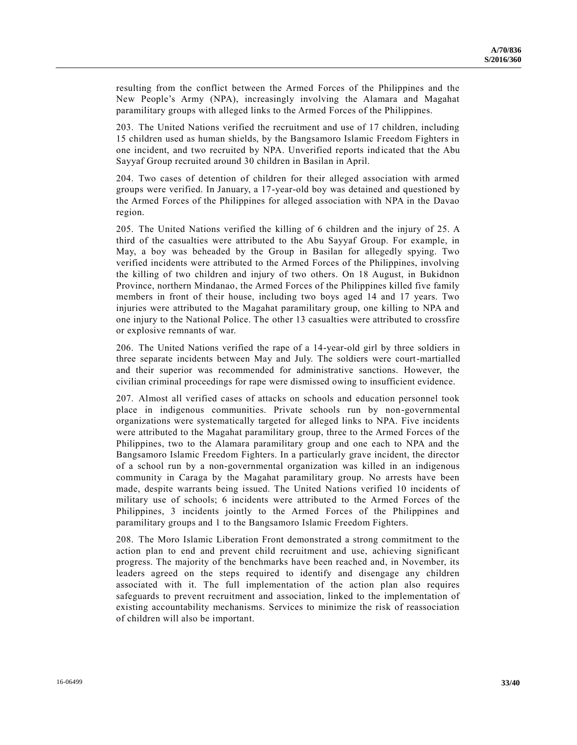resulting from the conflict between the Armed Forces of the Philippines and the New People's Army (NPA), increasingly involving the Alamara and Magahat paramilitary groups with alleged links to the Armed Forces of the Philippines.

203. The United Nations verified the recruitment and use of 17 children, including 15 children used as human shields, by the Bangsamoro Islamic Freedom Fighters in one incident, and two recruited by NPA. Unverified reports indicated that the Abu Sayyaf Group recruited around 30 children in Basilan in April.

204. Two cases of detention of children for their alleged association with armed groups were verified. In January, a 17-year-old boy was detained and questioned by the Armed Forces of the Philippines for alleged association with NPA in the Davao region.

205. The United Nations verified the killing of 6 children and the injury of 25. A third of the casualties were attributed to the Abu Sayyaf Group. For example, in May, a boy was beheaded by the Group in Basilan for allegedly spying. Two verified incidents were attributed to the Armed Forces of the Philippines, involving the killing of two children and injury of two others. On 18 August, in Bukidnon Province, northern Mindanao, the Armed Forces of the Philippines killed five family members in front of their house, including two boys aged 14 and 17 years. Two injuries were attributed to the Magahat paramilitary group, one killing to NPA and one injury to the National Police. The other 13 casualties were attributed to crossfire or explosive remnants of war.

206. The United Nations verified the rape of a 14-year-old girl by three soldiers in three separate incidents between May and July. The soldiers were court-martialled and their superior was recommended for administrative sanctions. However, the civilian criminal proceedings for rape were dismissed owing to insufficient evidence.

207. Almost all verified cases of attacks on schools and education personnel took place in indigenous communities. Private schools run by non-governmental organizations were systematically targeted for alleged links to NPA. Five incidents were attributed to the Magahat paramilitary group, three to the Armed Forces of the Philippines, two to the Alamara paramilitary group and one each to NPA and the Bangsamoro Islamic Freedom Fighters. In a particularly grave incident, the director of a school run by a non-governmental organization was killed in an indigenous community in Caraga by the Magahat paramilitary group. No arrests have been made, despite warrants being issued. The United Nations verified 10 incidents of military use of schools; 6 incidents were attributed to the Armed Forces of the Philippines, 3 incidents jointly to the Armed Forces of the Philippines and paramilitary groups and 1 to the Bangsamoro Islamic Freedom Fighters.

208. The Moro Islamic Liberation Front demonstrated a strong commitment to the action plan to end and prevent child recruitment and use, achieving significant progress. The majority of the benchmarks have been reached and, in November, its leaders agreed on the steps required to identify and disengage any children associated with it. The full implementation of the action plan also requires safeguards to prevent recruitment and association, linked to the implementation of existing accountability mechanisms. Services to minimize the risk of reassociation of children will also be important.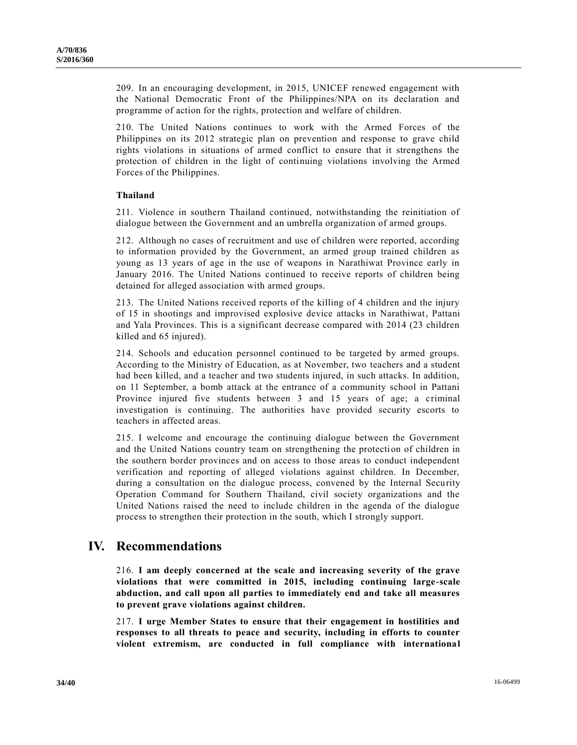209. In an encouraging development, in 2015, UNICEF renewed engagement with the National Democratic Front of the Philippines/NPA on its declaration and programme of action for the rights, protection and welfare of children.

210. The United Nations continues to work with the Armed Forces of the Philippines on its 2012 strategic plan on prevention and response to grave child rights violations in situations of armed conflict to ensure that it strengthens the protection of children in the light of continuing violations involving the Armed Forces of the Philippines.

#### **Thailand**

211. Violence in southern Thailand continued, notwithstanding the reinitiation of dialogue between the Government and an umbrella organization of armed groups.

212. Although no cases of recruitment and use of children were reported, according to information provided by the Government, an armed group trained children as young as 13 years of age in the use of weapons in Narathiwat Province early in January 2016. The United Nations continued to receive reports of children being detained for alleged association with armed groups.

213. The United Nations received reports of the killing of 4 children and the injury of 15 in shootings and improvised explosive device attacks in Narathiwat, Pattani and Yala Provinces. This is a significant decrease compared with 2014 (23 children killed and 65 injured).

214. Schools and education personnel continued to be targeted by armed groups. According to the Ministry of Education, as at November, two teachers and a student had been killed, and a teacher and two students injured, in such attacks. In addition, on 11 September, a bomb attack at the entrance of a community school in Pattani Province injured five students between 3 and 15 years of age; a criminal investigation is continuing. The authorities have provided security escorts to teachers in affected areas.

215. I welcome and encourage the continuing dialogue between the Government and the United Nations country team on strengthening the protection of children in the southern border provinces and on access to those areas to conduct independent verification and reporting of alleged violations against children. In December, during a consultation on the dialogue process, convened by the Internal Security Operation Command for Southern Thailand, civil society organizations and the United Nations raised the need to include children in the agenda of the dialogue process to strengthen their protection in the south, which I strongly support.

## **IV. Recommendations**

216. **I am deeply concerned at the scale and increasing severity of the grave violations that were committed in 2015, including continuing large-scale abduction, and call upon all parties to immediately end and take all measures to prevent grave violations against children.**

217. **I urge Member States to ensure that their engagement in hostilities and responses to all threats to peace and security, including in efforts to counter violent extremism, are conducted in full compliance with international**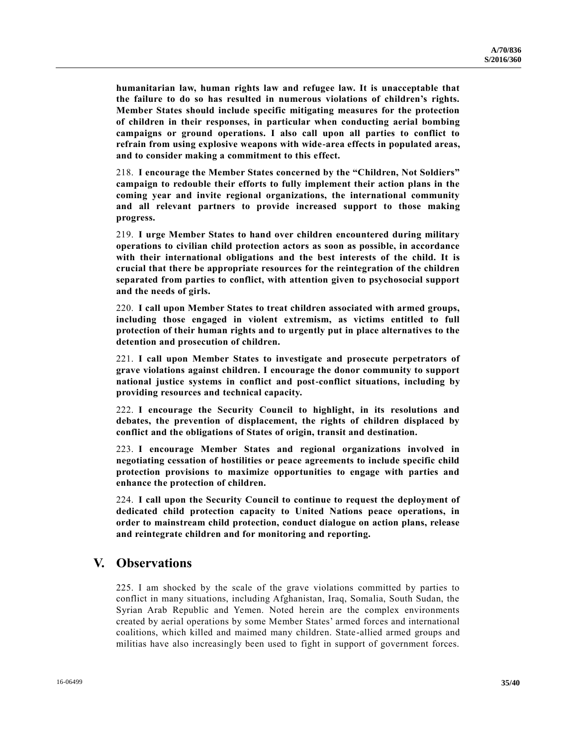**humanitarian law, human rights law and refugee law. It is unacceptable that the failure to do so has resulted in numerous violations of children's rights. Member States should include specific mitigating measures for the protection of children in their responses, in particular when conducting aerial bombing campaigns or ground operations. I also call upon all parties to conflict to refrain from using explosive weapons with wide-area effects in populated areas, and to consider making a commitment to this effect.**

218. **I encourage the Member States concerned by the "Children, Not Soldiers" campaign to redouble their efforts to fully implement their action plans in the coming year and invite regional organizations, the international community and all relevant partners to provide increased support to those making progress.**

219. **I urge Member States to hand over children encountered during military operations to civilian child protection actors as soon as possible, in accordance with their international obligations and the best interests of the child. It is crucial that there be appropriate resources for the reintegration of the children separated from parties to conflict, with attention given to psychosocial support and the needs of girls.**

220. **I call upon Member States to treat children associated with armed groups, including those engaged in violent extremism, as victims entitled to full protection of their human rights and to urgently put in place alternatives to the detention and prosecution of children.**

221. **I call upon Member States to investigate and prosecute perpetrators of grave violations against children. I encourage the donor community to support national justice systems in conflict and post-conflict situations, including by providing resources and technical capacity.**

222. **I encourage the Security Council to highlight, in its resolutions and debates, the prevention of displacement, the rights of children displaced by conflict and the obligations of States of origin, transit and destination.**

223. **I encourage Member States and regional organizations involved in negotiating cessation of hostilities or peace agreements to include specific child protection provisions to maximize opportunities to engage with parties and enhance the protection of children.**

224. **I call upon the Security Council to continue to request the deployment of dedicated child protection capacity to United Nations peace operations, in order to mainstream child protection, conduct dialogue on action plans, release and reintegrate children and for monitoring and reporting.**

## **V. Observations**

225. I am shocked by the scale of the grave violations committed by parties to conflict in many situations, including Afghanistan, Iraq, Somalia, South Sudan, the Syrian Arab Republic and Yemen. Noted herein are the complex environments created by aerial operations by some Member States' armed forces and international coalitions, which killed and maimed many children. State-allied armed groups and militias have also increasingly been used to fight in support of government forces.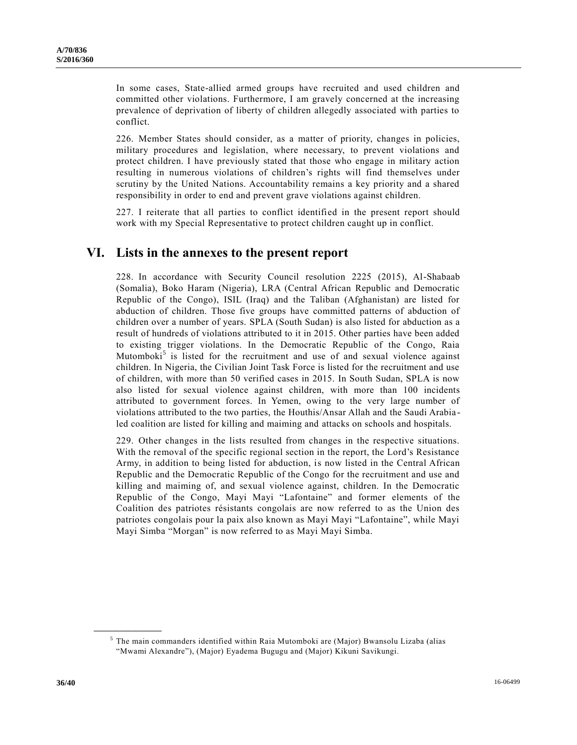In some cases, State-allied armed groups have recruited and used children and committed other violations. Furthermore, I am gravely concerned at the increasing prevalence of deprivation of liberty of children allegedly associated with parties to conflict.

226. Member States should consider, as a matter of priority, changes in policies, military procedures and legislation, where necessary, to prevent violations and protect children. I have previously stated that those who engage in military action resulting in numerous violations of children's rights will find themselves under scrutiny by the United Nations. Accountability remains a key priority and a shared responsibility in order to end and prevent grave violations against children.

227. I reiterate that all parties to conflict identified in the present report should work with my Special Representative to protect children caught up in conflict.

## **VI. Lists in the annexes to the present report**

228. In accordance with Security Council resolution 2225 (2015), Al-Shabaab (Somalia), Boko Haram (Nigeria), LRA (Central African Republic and Democratic Republic of the Congo), ISIL (Iraq) and the Taliban (Afghanistan) are listed for abduction of children. Those five groups have committed patterns of abduction of children over a number of years. SPLA (South Sudan) is also listed for abduction as a result of hundreds of violations attributed to it in 2015. Other parties have been added to existing trigger violations. In the Democratic Republic of the Congo, Raia Mutomboki<sup>5</sup> is listed for the recruitment and use of and sexual violence against children. In Nigeria, the Civilian Joint Task Force is listed for the recruitment and use of children, with more than 50 verified cases in 2015. In South Sudan, SPLA is now also listed for sexual violence against children, with more than 100 incidents attributed to government forces. In Yemen, owing to the very large number of violations attributed to the two parties, the Houthis/Ansar Allah and the Saudi Arabia led coalition are listed for killing and maiming and attacks on schools and hospitals.

229. Other changes in the lists resulted from changes in the respective situations. With the removal of the specific regional section in the report, the Lord's Resistance Army, in addition to being listed for abduction, is now listed in the Central African Republic and the Democratic Republic of the Congo for the recruitment and use and killing and maiming of, and sexual violence against, children. In the Democratic Republic of the Congo, Mayi Mayi "Lafontaine" and former elements of the Coalition des patriotes résistants congolais are now referred to as the Union des patriotes congolais pour la paix also known as Mayi Mayi "Lafontaine", while Mayi Mayi Simba "Morgan" is now referred to as Mayi Mayi Simba.

**\_\_\_\_\_\_\_\_\_\_\_\_\_\_\_\_\_\_**

<sup>5</sup> The main commanders identified within Raia Mutomboki are (Major) Bwansolu Lizaba (alias "Mwami Alexandre"), (Major) Eyadema Bugugu and (Major) Kikuni Savikungi.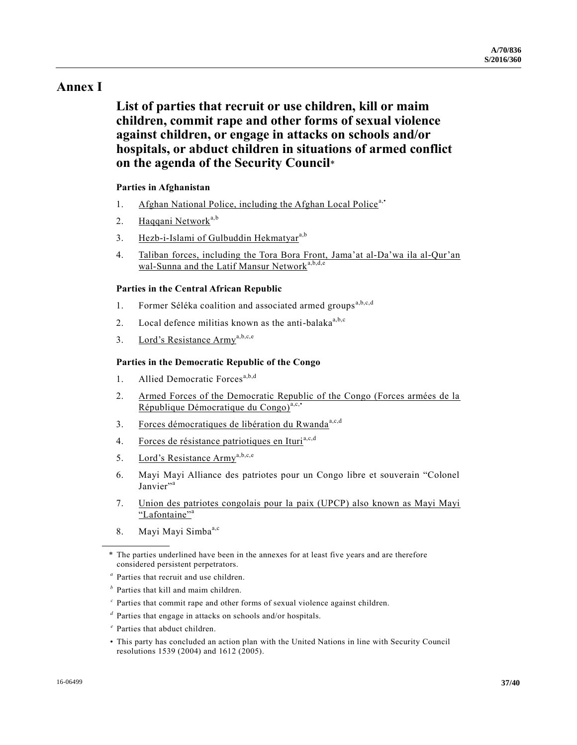## **Annex I**

# **List of parties that recruit or use children, kill or maim children, commit rape and other forms of sexual violence against children, or engage in attacks on schools and/or hospitals, or abduct children in situations of armed conflict on the agenda of the Security Council**\*

### **Parties in Afghanistan**

- 1. Afghan National Police, including the Afghan Local Police<sup>a,•</sup>
- 2. Haqqani Network<sup>a,b</sup>
- 3. Hezb-i-Islami of Gulbuddin Hekmatyar<sup>a,b</sup>
- 4. Taliban forces, including the Tora Bora Front, Jama'at al-Da'wa ila al-Qur'an wal-Sunna and the Latif Mansur Network<sup>a,b,d,e</sup>

#### **Parties in the Central African Republic**

- 1. Former Séléka coalition and associated armed groups<sup>a,b,c,d</sup>
- 2. Local defence militias known as the anti-balaka $a<sup>a,b,c</sup>$
- 3. Lord's Resistance Armya,b,c,e

#### **Parties in the Democratic Republic of the Congo**

- 1. Allied Democratic Forces<sup>a,b,d</sup>
- 2. Armed Forces of the Democratic Republic of the Congo (Forces armées de la République Démocratique du Congo)<sup>a,c,•</sup>
- 3. Forces démocratiques de libération du Rwanda<sup>a,c,d</sup>
- 4. Forces de résistance patriotiques en Ituri<sup>a,c,d</sup>
- 5. Lord's Resistance Armya,b,c,e
- 6. Mayi Mayi Alliance des patriotes pour un Congo libre et souverain "Colonel Janvier"<sup>a</sup>
- 7. Union des patriotes congolais pour la paix (UPCP) also known as Mayi Mayi "Lafontaine"<sup>a</sup>
- 8. Mayi Mayi Simba<sup>a,c</sup>

- *c* Parties that commit rape and other forms of sexual violence against children.
- *d* Parties that engage in attacks on schools and/or hospitals.
- *e* Parties that abduct children.
- This party has concluded an action plan with the United Nations in line with Security Council resolutions 1539 (2004) and 1612 (2005).

<sup>\*</sup> The parties underlined have been in the annexes for at least five years and are therefore considered persistent perpetrators.

*a* Parties that recruit and use children.

*b* Parties that kill and maim children.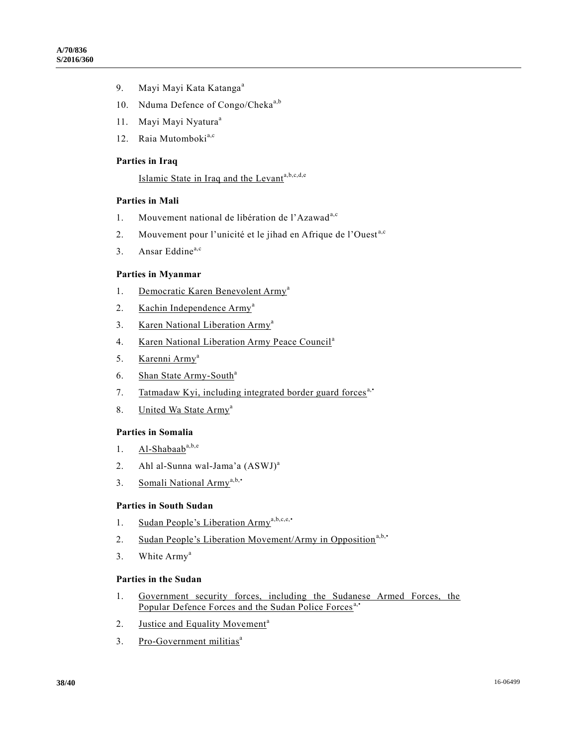- 9. Mayi Mayi Kata Katanga<sup>a</sup>
- 10. Nduma Defence of Congo/Cheka<sup>a,b</sup>
- 11. Mayi Mayi Nyatura<sup>a</sup>
- 12. Raia Mutomboki<sup>a,c</sup>

#### **Parties in Iraq**

## Islamic State in Iraq and the Levanta,b,c,d,e

#### **Parties in Mali**

- 1. Mouvement national de libération de l'Azawad<sup>a,c</sup>
- 2. Mouvement pour l'unicité et le jihad en Afrique de l'Ouest<sup>a,c</sup>
- 3. Ansar Eddine<sup>a,c</sup>

#### **Parties in Myanmar**

- 1. Democratic Karen Benevolent Army<sup>a</sup>
- 2. Kachin Independence Army<sup>a</sup>
- 3. Karen National Liberation Army<sup>a</sup>
- 4. Karen National Liberation Army Peace Council<sup>a</sup>
- 5. Karenni Army<sup>a</sup>
- 6. Shan State Army-South<sup>a</sup>
- 7. Tatmadaw Kyi, including integrated border guard forces<sup>a,•</sup>
- 8. United Wa State Army<sup>a</sup>

#### **Parties in Somalia**

- 1.  $Al-Shabaab^{a,b,e}$
- 2. Ahl al-Sunna wal-Jama'a (ASWJ)<sup>a</sup>
- 3. Somali National Army<sup>a,b,•</sup>

#### **Parties in South Sudan**

- 1. Sudan People's Liberation Army<sup>a,b,c,e</sup>,
- 2. Sudan People's Liberation Movement/Army in Opposition<sup>a,b,•</sup>
- 3. White Army<sup>a</sup>

#### **Parties in the Sudan**

- 1. Government security forces, including the Sudanese Armed Forces, the Popular Defence Forces and the Sudan Police Forces<sup>a,•</sup>
- 2. Justice and Equality Movement<sup>a</sup>
- 3. Pro-Government militias<sup>a</sup>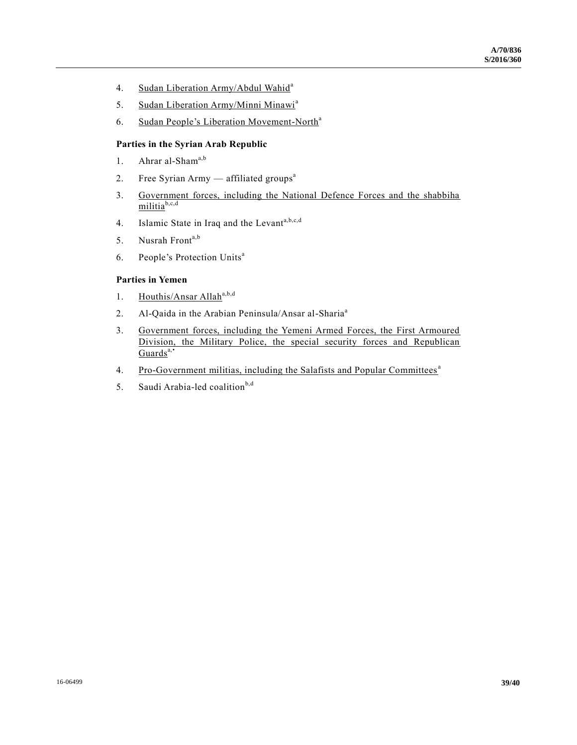- 4. Sudan Liberation Army/Abdul Wahid<sup>a</sup>
- 5. Sudan Liberation Army/Minni Minawi<sup>a</sup>
- 6. Sudan People's Liberation Movement-North<sup>a</sup>

#### **Parties in the Syrian Arab Republic**

- 1. Ahrar al-Sham<sup>a,b</sup>
- 2. Free Syrian Army  $-$  affiliated groups<sup>a</sup>
- 3. Government forces, including the National Defence Forces and the shabbiha militia<sup>b,c,d</sup>
- 4. Islamic State in Iraq and the Levanta, b,c,d
- 5. Nusrah Front<sup>a,b</sup>
- 6. People's Protection Units<sup>a</sup>

#### **Parties in Yemen**

- 1. Houthis/Ansar Allah<sup>a,b,d</sup>
- 2. Al-Qaida in the Arabian Peninsula/Ansar al-Sharia<sup>a</sup>
- 3. Government forces, including the Yemeni Armed Forces, the First Armoured Division, the Military Police, the special security forces and Republican Guards<sup>a,•</sup>
- 4. Pro-Government militias, including the Salafists and Popular Committees<sup>a</sup>
- 5. Saudi Arabia-led coalition $b,d$